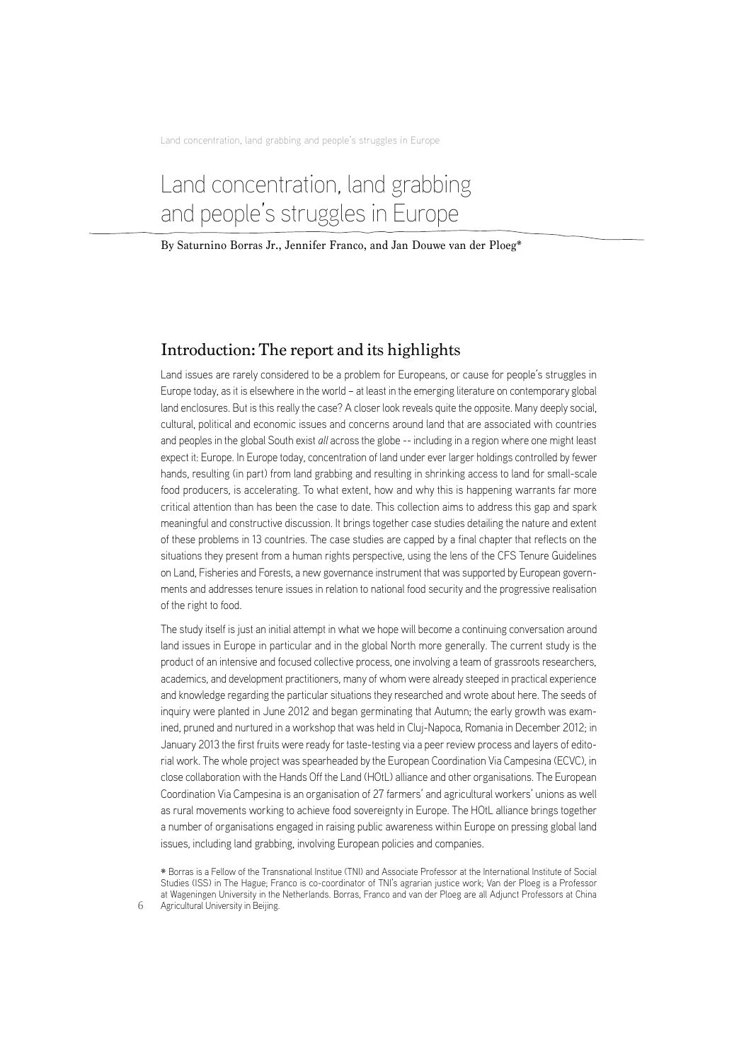# Land concentration, land grabbing and people's struggles in Europe

By Saturnino Borras Jr., Jennifer Franco, and Jan Douwe van der Ploeg\*

### Introduction: The report and its highlights

Land issues are rarely considered to be a problem for Europeans, or cause for people's struggles in Europe today, as it is elsewhere in the world – at least in the emerging literature on contemporary global land enclosures. But is this really the case? A closer look reveals quite the opposite. Many deeply social, cultural, political and economic issues and concerns around land that are associated with countries and peoples in the global South exist *all* across the globe -- including in a region where one might least expect it: Europe. In Europe today, concentration of land under ever larger holdings controlled by fewer hands, resulting (in part) from land grabbing and resulting in shrinking access to land for small-scale food producers, is accelerating. To what extent, how and why this is happening warrants far more critical attention than has been the case to date. This collection aims to address this gap and spark meaningful and constructive discussion. It brings together case studies detailing the nature and extent of these problems in 13 countries. The case studies are capped by a final chapter that reflects on the situations they present from a human rights perspective, using the lens of the CFS Tenure Guidelines on Land, Fisheries and Forests, a new governance instrument that was supported by European governments and addresses tenure issues in relation to national food security and the progressive realisation of the right to food.

The study itself is just an initial attempt in what we hope will become a continuing conversation around land issues in Europe in particular and in the global North more generally. The current study is the product of an intensive and focused collective process, one involving a team of grassroots researchers, academics, and development practitioners, many of whom were already steeped in practical experience and knowledge regarding the particular situations they researched and wrote about here. The seeds of inquiry were planted in June 2012 and began germinating that Autumn; the early growth was examined, pruned and nurtured in a workshop that was held in Cluj-Napoca, Romania in December 2012; in January 2013 the first fruits were ready for taste-testing via a peer review process and layers of editorial work. The whole project was spearheaded by the European Coordination Via Campesina (ECVC), in close collaboration with the Hands Off the Land (HOtL) alliance and other organisations. The European Coordination Via Campesina is an organisation of 27 farmers' and agricultural workers' unions as well as rural movements working to achieve food sovereignty in Europe. The HOtL alliance brings together a number of organisations engaged in raising public awareness within Europe on pressing global land issues, including land grabbing, involving European policies and companies.

\* Borras is a Fellow of the Transnational Institue (TNI) and Associate Professor at the International Institute of Social Studies (ISS) in The Hague; Franco is co-coordinator of TNI's agrarian justice work; Van der Ploeg is a Professor at Wageningen University in the Netherlands. Borras, Franco and van der Ploeg are all Adjunct Professors at China Agricultural University in Beijing.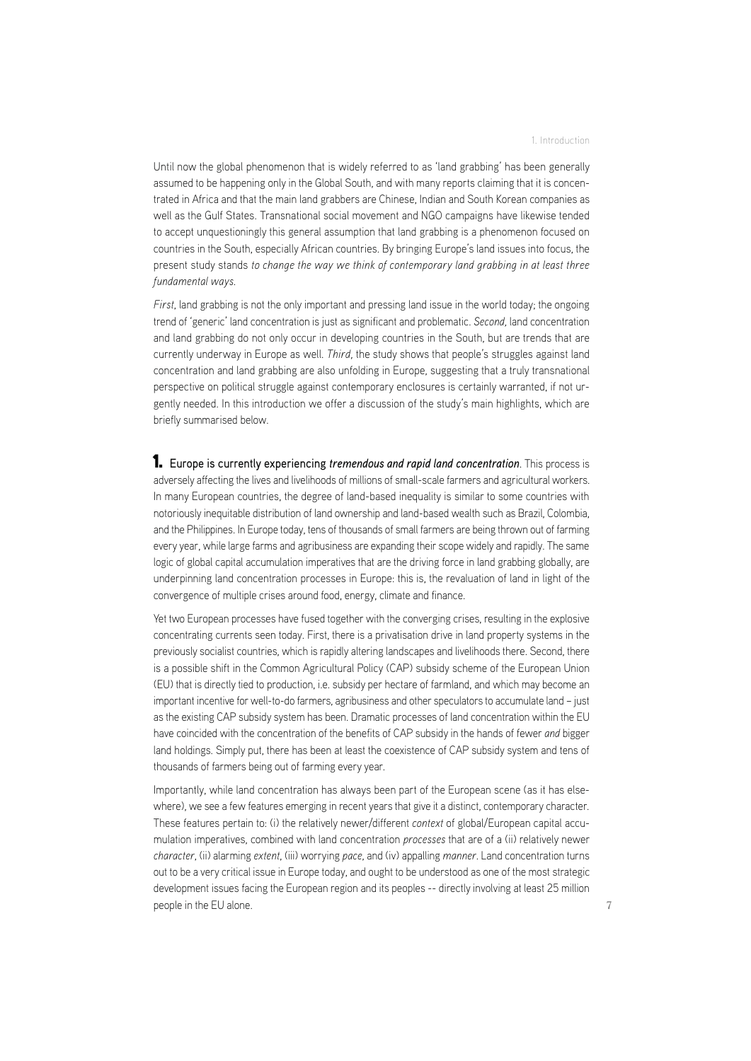Until now the global phenomenon that is widely referred to as 'land grabbing' has been generally assumed to be happening only in the Global South, and with many reports claiming that it is concentrated in Africa and that the main land grabbers are Chinese, Indian and South Korean companies as well as the Gulf States. Transnational social movement and NGO campaigns have likewise tended to accept unquestioningly this general assumption that land grabbing is a phenomenon focused on countries in the South, especially African countries. By bringing Europe's land issues into focus, the present study stands *to change the way we think of contemporary land grabbing in at least three fundamental ways.*

*First*, land grabbing is not the only important and pressing land issue in the world today; the ongoing trend of 'generic' land concentration is just as significant and problematic. *Second,* land concentration and land grabbing do not only occur in developing countries in the South, but are trends that are currently underway in Europe as well. *Third,* the study shows that people's struggles against land concentration and land grabbing are also unfolding in Europe, suggesting that a truly transnational perspective on political struggle against contemporary enclosures is certainly warranted, if not urgently needed. In this introduction we offer a discussion of the study's main highlights, which are briefly summarised below.

1. Europe is currently experiencing *tremendous and rapid land concentration*. This process is adversely affecting the lives and livelihoods of millions of small-scale farmers and agricultural workers. In many European countries, the degree of land-based inequality is similar to some countries with notoriously inequitable distribution of land ownership and land-based wealth such as Brazil, Colombia, and the Philippines. In Europe today, tens of thousands of small farmers are being thrown out of farming every year, while large farms and agribusiness are expanding their scope widely and rapidly. The same logic of global capital accumulation imperatives that are the driving force in land grabbing globally, are underpinning land concentration processes in Europe: this is, the revaluation of land in light of the convergence of multiple crises around food, energy, climate and finance.

Yet two European processes have fused together with the converging crises, resulting in the explosive concentrating currents seen today. First, there is a privatisation drive in land property systems in the previously socialist countries, which is rapidly altering landscapes and livelihoods there. Second, there is a possible shift in the Common Agricultural Policy (CAP) subsidy scheme of the European Union (EU) that is directly tied to production, i.e. subsidy per hectare of farmland, and which may become an important incentive for well-to-do farmers, agribusiness and other speculators to accumulate land – just as the existing CAP subsidy system has been. Dramatic processes of land concentration within the EU have coincided with the concentration of the benefits of CAP subsidy in the hands of fewer *and* bigger land holdings. Simply put, there has been at least the coexistence of CAP subsidy system and tens of thousands of farmers being out of farming every year.

Importantly, while land concentration has always been part of the European scene (as it has elsewhere), we see a few features emerging in recent years that give it a distinct, contemporary character. These features pertain to: (i) the relatively newer/different *context* of global/European capital accumulation imperatives, combined with land concentration *processes* that are of a (ii) relatively newer *character*, (ii) alarming *extent*, (iii) worrying *pace*, and (iv) appalling *manner*. Land concentration turns out to be a very critical issue in Europe today, and ought to be understood as one of the most strategic development issues facing the European region and its peoples -- directly involving at least 25 million people in the EU alone.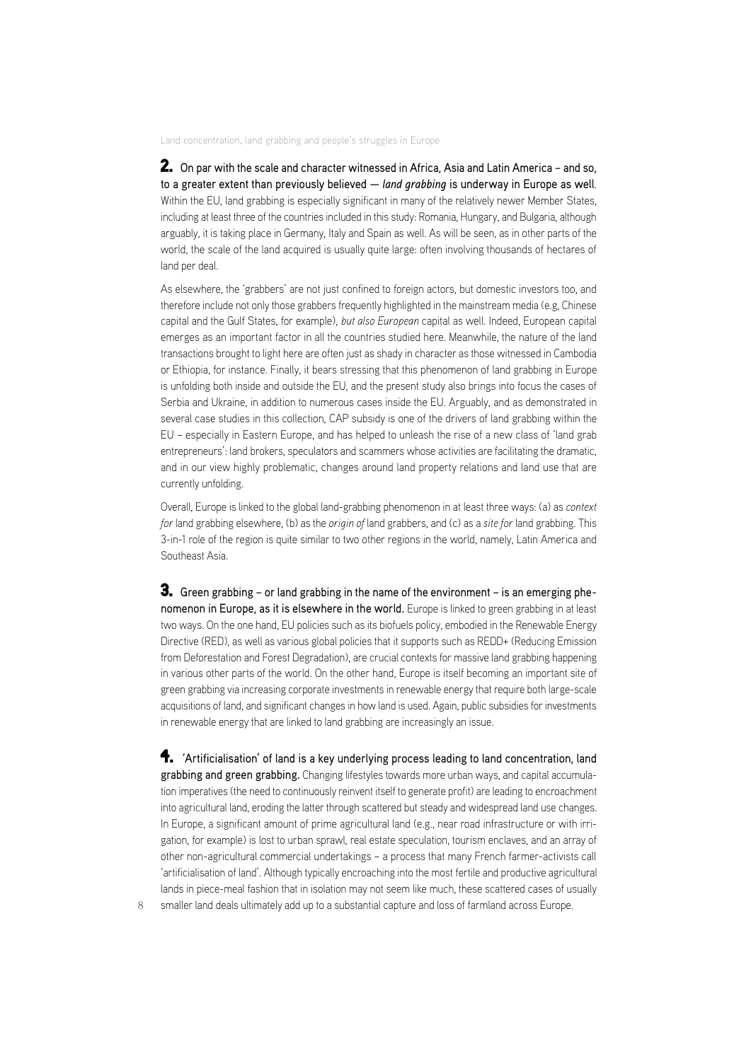2. On par with the scale and character witnessed in Africa, Asia and Latin America – and so, to a greater extent than previously believed — *land grabbing* is underway in Europe as well. Within the EU, land grabbing is especially significant in many of the relatively newer Member States, including at least three of the countries included in this study: Romania, Hungary, and Bulgaria, although arguably, it is taking place in Germany, Italy and Spain as well. As will be seen, as in other parts of the world, the scale of the land acquired is usually quite large: often involving thousands of hectares of land per deal.

As elsewhere, the 'grabbers' are not just confined to foreign actors, but domestic investors too, and therefore include not only those grabbers frequently highlighted in the mainstream media (e.g, Chinese capital and the Gulf States, for example), *but also European* capital as well. Indeed, European capital emerges as an important factor in all the countries studied here. Meanwhile, the nature of the land transactions brought to light here are often just as shady in character as those witnessed in Cambodia or Ethiopia, for instance. Finally, it bears stressing that this phenomenon of land grabbing in Europe is unfolding both inside and outside the EU, and the present study also brings into focus the cases of Serbia and Ukraine, in addition to numerous cases inside the EU. Arguably, and as demonstrated in several case studies in this collection, CAP subsidy is one of the drivers of land grabbing within the EU – especially in Eastern Europe, and has helped to unleash the rise of a new class of 'land grab entrepreneurs': land brokers, speculators and scammers whose activities are facilitating the dramatic, and in our view highly problematic, changes around land property relations and land use that are currently unfolding.

Overall, Europe is linked to the global land-grabbing phenomenon in at least three ways: (a) as *context for* land grabbing elsewhere, (b) as the *origin of* land grabbers, and (c) as a *site for* land grabbing. This 3-in-1 role of the region is quite similar to two other regions in the world, namely, Latin America and Southeast Asia.

**3.** Green grabbing – or land grabbing in the name of the environment – is an emerging phenomenon in Europe, as it is elsewhere in the world. Europe is linked to green grabbing in at least two ways. On the one hand, EU policies such as its biofuels policy, embodied in the Renewable Energy Directive (RED), as well as various global policies that it supports such as REDD+ (Reducing Emission from Deforestation and Forest Degradation), are crucial contexts for massive land grabbing happening in various other parts of the world. On the other hand, Europe is itself becoming an important site of green grabbing via increasing corporate investments in renewable energy that require both large-scale acquisitions of land, and significant changes in how land is used. Again, public subsidies for investments in renewable energy that are linked to land grabbing are increasingly an issue.

**4.** 'Artificialisation' of land is a key underlying process leading to land concentration, land grabbing and green grabbing. Changing lifestyles towards more urban ways, and capital accumulation imperatives (the need to continuously reinvent itself to generate profit) are leading to encroachment into agricultural land, eroding the latter through scattered but steady and widespread land use changes. In Europe, a significant amount of prime agricultural land (e.g., near road infrastructure or with irrigation, for example) is lost to urban sprawl, real estate speculation, tourism enclaves, and an array of other non-agricultural commercial undertakings – a process that many French farmer-activists call 'artificialisation of land'. Although typically encroaching into the most fertile and productive agricultural lands in piece-meal fashion that in isolation may not seem like much, these scattered cases of usually smaller land deals ultimately add up to a substantial capture and loss of farmland across Europe.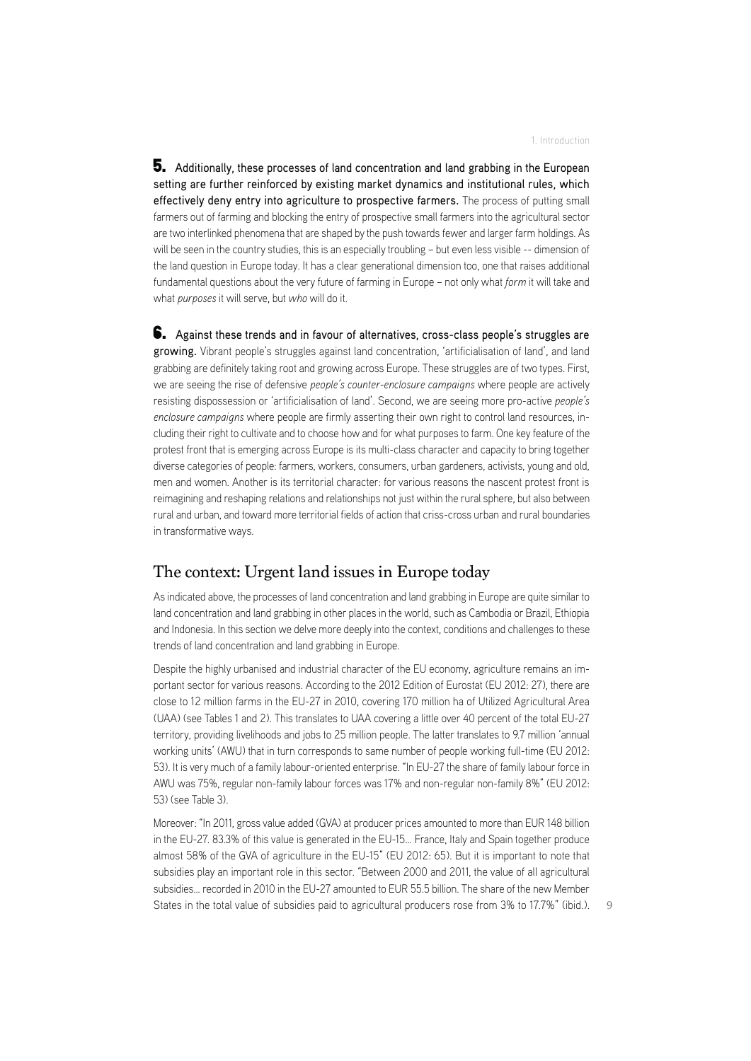5. Additionally, these processes of land concentration and land grabbing in the European setting are further reinforced by existing market dynamics and institutional rules, which effectively deny entry into agriculture to prospective farmers. The process of putting small farmers out of farming and blocking the entry of prospective small farmers into the agricultural sector are two interlinked phenomena that are shaped by the push towards fewer and larger farm holdings. As will be seen in the country studies, this is an especially troubling – but even less visible -- dimension of the land question in Europe today. It has a clear generational dimension too, one that raises additional fundamental questions about the very future of farming in Europe – not only what *form* it will take and what *purposes* it will serve, but *who* will do it.

6. Against these trends and in favour of alternatives, cross-class people's struggles are growing. Vibrant people's struggles against land concentration, 'artificialisation of land', and land grabbing are definitely taking root and growing across Europe. These struggles are of two types. First, we are seeing the rise of defensive *people's counter-enclosure campaigns* where people are actively resisting dispossession or 'artificialisation of land'. Second, we are seeing more pro-active *people's enclosure campaigns* where people are firmly asserting their own right to control land resources, including their right to cultivate and to choose how and for what purposes to farm. One key feature of the protest front that is emerging across Europe is its multi-class character and capacity to bring together diverse categories of people: farmers, workers, consumers, urban gardeners, activists, young and old, men and women. Another is its territorial character: for various reasons the nascent protest front is reimagining and reshaping relations and relationships not just within the rural sphere, but also between rural and urban, and toward more territorial fields of action that criss-cross urban and rural boundaries in transformative ways.

### The context: Urgent land issues in Europe today

As indicated above, the processes of land concentration and land grabbing in Europe are quite similar to land concentration and land grabbing in other places in the world, such as Cambodia or Brazil, Ethiopia and Indonesia. In this section we delve more deeply into the context, conditions and challenges to these trends of land concentration and land grabbing in Europe.

Despite the highly urbanised and industrial character of the EU economy, agriculture remains an important sector for various reasons. According to the 2012 Edition of Eurostat (EU 2012: 27), there are close to 12 million farms in the EU-27 in 2010, covering 170 million ha of Utilized Agricultural Area (UAA) (see Tables 1 and 2). This translates to UAA covering a little over 40 percent of the total EU-27 territory, providing livelihoods and jobs to 25 million people. The latter translates to 9.7 million 'annual working units' (AWU) that in turn corresponds to same number of people working full-time (EU 2012: 53). It is very much of a family labour-oriented enterprise. "In EU-27 the share of family labour force in AWU was 75%, regular non-family labour forces was 17% and non-regular non-family 8%" (EU 2012: 53) (see Table 3).

Moreover: "In 2011, gross value added (GVA) at producer prices amounted to more than EUR 148 billion in the EU-27. 83.3% of this value is generated in the EU-15… France, Italy and Spain together produce almost 58% of the GVA of agriculture in the EU-15" (EU 2012: 65). But it is important to note that subsidies play an important role in this sector. "Between 2000 and 2011, the value of all agricultural subsidies… recorded in 2010 in the EU-27 amounted to EUR 55.5 billion. The share of the new Member States in the total value of subsidies paid to agricultural producers rose from 3% to 17.7%" (ibid.).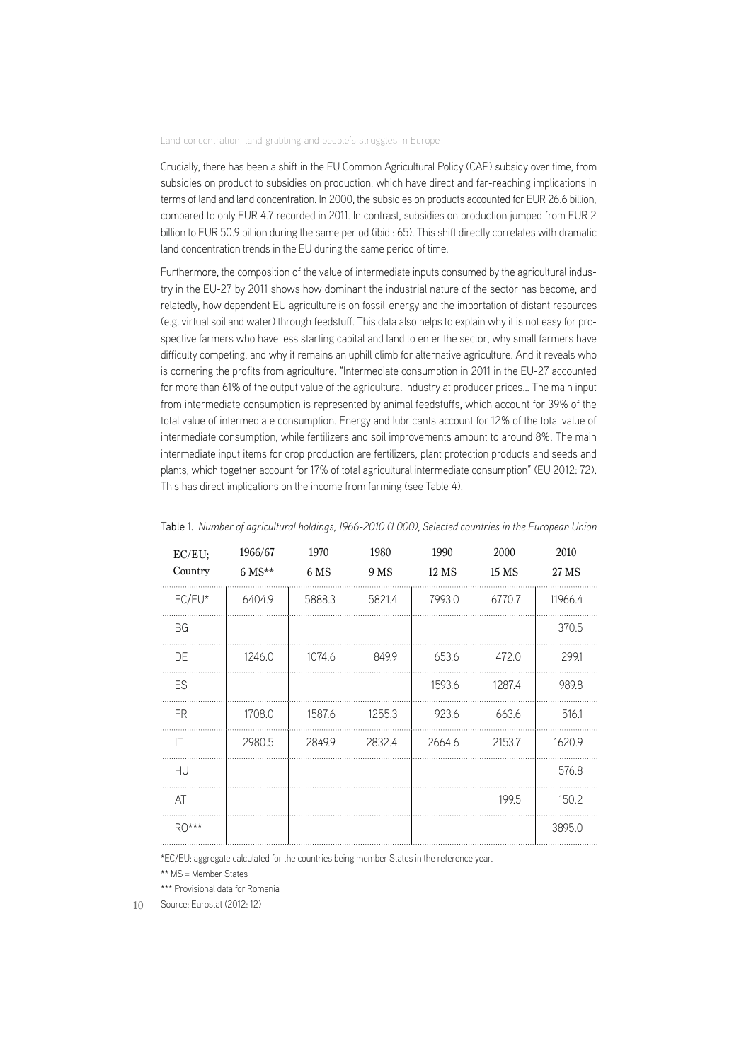Crucially, there has been a shift in the EU Common Agricultural Policy (CAP) subsidy over time, from subsidies on product to subsidies on production, which have direct and far-reaching implications in terms of land and land concentration. In 2000, the subsidies on products accounted for EUR 26.6 billion, compared to only EUR 4.7 recorded in 2011. In contrast, subsidies on production jumped from EUR 2 billion to EUR 50.9 billion during the same period (ibid.: 65). This shift directly correlates with dramatic land concentration trends in the EU during the same period of time.

Furthermore, the composition of the value of intermediate inputs consumed by the agricultural industry in the EU-27 by 2011 shows how dominant the industrial nature of the sector has become, and relatedly, how dependent EU agriculture is on fossil-energy and the importation of distant resources (e.g. virtual soil and water) through feedstuff. This data also helps to explain why it is not easy for prospective farmers who have less starting capital and land to enter the sector, why small farmers have difficulty competing, and why it remains an uphill climb for alternative agriculture. And it reveals who is cornering the profits from agriculture. "Intermediate consumption in 2011 in the EU-27 accounted for more than 61% of the output value of the agricultural industry at producer prices… The main input from intermediate consumption is represented by animal feedstuffs, which account for 39% of the total value of intermediate consumption. Energy and lubricants account for 12% of the total value of intermediate consumption, while fertilizers and soil improvements amount to around 8%. The main intermediate input items for crop production are fertilizers, plant protection products and seeds and plants, which together account for 17% of total agricultural intermediate consumption" (EU 2012: 72). This has direct implications on the income from farming (see Table 4).

| EC/EU;<br>Country | 1966/67<br>$6 MS**$ | 1970<br>6 MS | 1980<br>9 MS | 1990<br>12 MS | 2000<br>15 MS | 2010<br>27 MS |
|-------------------|---------------------|--------------|--------------|---------------|---------------|---------------|
| $EC/EU*$          | 6404.9              | 5888.3       | 5821.4       | 7993.0        | 6770.7        | 11966.4       |
| BG                |                     |              |              |               |               | 370.5         |
| DE                | 1246.0              | 1074.6       | 849.9        | 653.6         | 472.0         | 299.1         |
| ES                |                     |              |              | 1593.6        | 1287.4        | 989.8         |
| <b>FR</b>         | 1708.0              | 1587.6       | 1255.3       | 923.6         | 663.6         | 516.1         |
| IT                | 2980.5              | 2849.9       | 2832.4       | 2664.6        | 2153.7        | 1620.9        |
| <b>HU</b>         |                     |              |              |               |               | 576.8         |
| AT                |                     |              |              |               | 199.5         | 150.2         |
| $RO***$           |                     |              |              |               |               | 3895.0        |

Table 1. *Number of agricultural holdings, 1966-2010 (1 000), Selected countries in the European Union*

\*EC/EU: aggregate calculated for the countries being member States in the reference year.

\*\* MS = Member States

\*\*\* Provisional data for Romania

10 Source: Eurostat (2012: 12)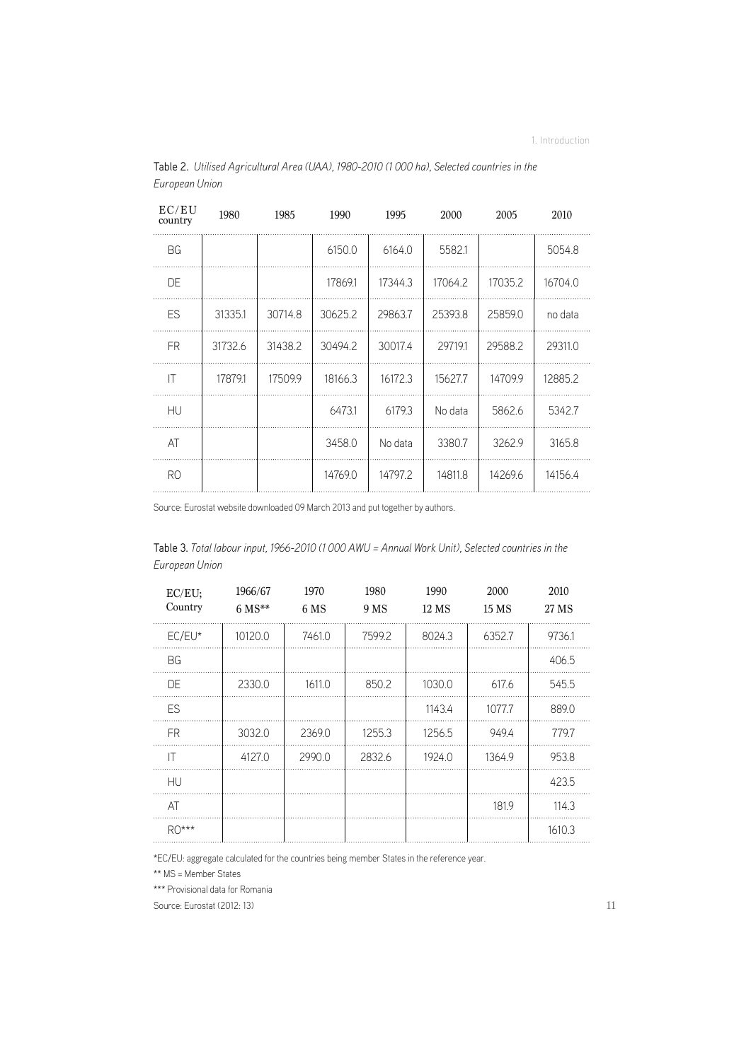| EC/EU<br>country | 1980    | 1985    | 1990    | 1995    | 2000    | 2005    | 2010    |  |
|------------------|---------|---------|---------|---------|---------|---------|---------|--|
| <b>BG</b>        |         |         | 6150.0  | 6164.0  | 5582.1  |         | 5054.8  |  |
| <b>DE</b>        |         |         | 17869.1 | 17344.3 | 17064.2 | 17035.2 | 16704.0 |  |
| ES               | 31335.1 | 30714.8 | 30625.2 | 29863.7 | 25393.8 | 25859.0 | no data |  |
| FR.              | 31732.6 | 31438.2 | 30494.2 | 30017.4 | 29719.1 | 29588.2 | 29311.0 |  |
| ΙT               | 17879.1 | 17509.9 | 18166.3 | 16172.3 | 15627.7 | 14709.9 | 12885.2 |  |
| HU               |         |         | 6473.1  | 6179.3  | No data | 5862.6  | 5342.7  |  |
| AT               |         |         | 3458.0  | No data | 3380.7  | 3262.9  | 3165.8  |  |
| R <sub>O</sub>   |         |         | 14769.0 | 14797.2 | 14811.8 | 14269.6 | 14156.4 |  |
|                  |         |         |         |         |         |         |         |  |

Table 2. *Utilised Agricultural Area (UAA), 1980-2010 (1 000 ha), Selected countries in the European Union*

Source: Eurostat website downloaded 09 March 2013 and put together by authors.

Table 3. *Total labour input, 1966-2010 (1 000 AWU = Annual Work Unit), Selected countries in the European Union*

| EC/EU;<br>Country | 1966/67<br>$6$ MS** | 1970<br>6 MS | 1980<br>9 MS | 1990<br>12 MS | 2000<br>15 MS | 2010<br>27 MS |
|-------------------|---------------------|--------------|--------------|---------------|---------------|---------------|
| $EC/EU^*$         | 10120.0             | 7461.0       | 7599.2       | 8024.3        | 6352.7        | 9736.1        |
| <b>BG</b>         |                     |              |              |               |               | 406.5         |
| DE                | 2330.0              | 1611.0       | 850.2        | 1030.0        | 617.6         | 545.5         |
| ES                |                     |              |              | 1143.4        | 1077.7        | 889.0         |
| <b>FR</b>         | 3032.0              | 2369.0       | 1255.3       | 1256.5        | 949.4         | 779.7         |
| IT                | 4127.0              | 2990.0       | 2832.6       | 1924.0        | 1364.9        | 953.8         |
| HU                |                     |              |              |               |               | 423.5         |
| AT                |                     |              |              |               | 181.9         | 114.3         |
| $RO***$           |                     |              |              |               |               | 1610.3        |

\*EC/EU: aggregate calculated for the countries being member States in the reference year.

\*\* MS = Member States

\*\*\* Provisional data for Romania

Source: Eurostat (2012: 13)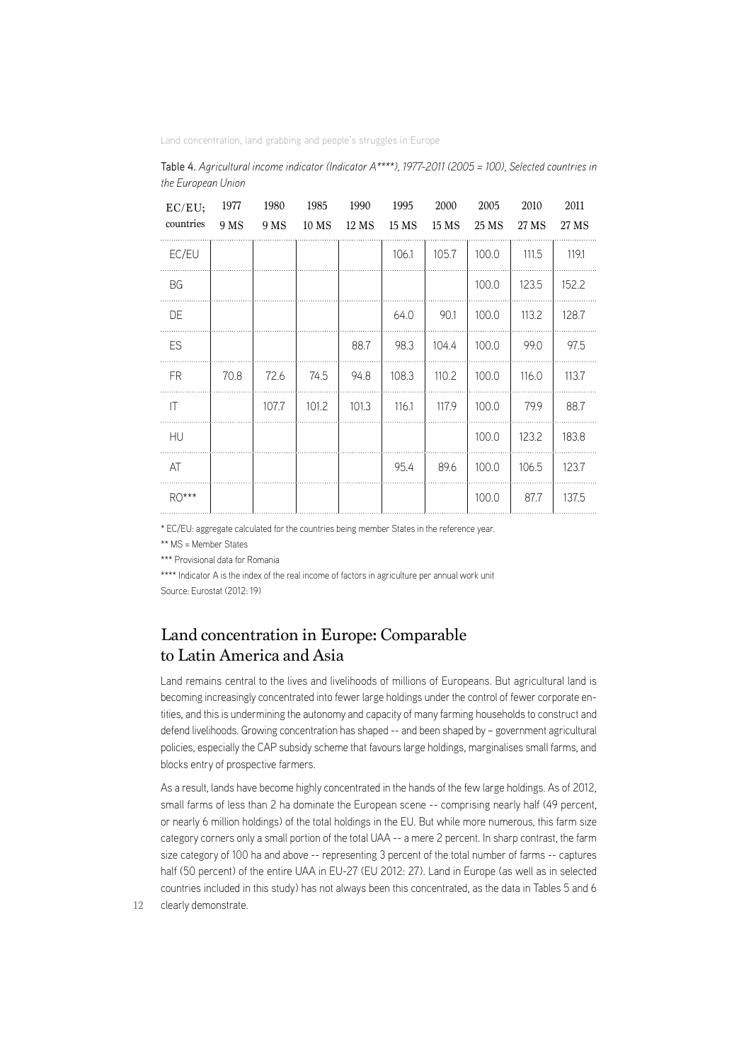| EC/EU;<br>countries | 1977<br>9 MS | 1980<br>9 MS | 1985<br>10 MS | 1990<br>12 MS | 1995<br>15 MS | 2000<br>15 MS | 2005<br>25 MS | 2010<br>27 MS | 2011<br>27 MS |
|---------------------|--------------|--------------|---------------|---------------|---------------|---------------|---------------|---------------|---------------|
| EC/EU               |              |              |               |               | 106.1         | 105.7         | 100.0         | 111.5         | 119.1         |
| BG                  |              |              |               |               |               |               | 100.0         | 123.5         | 152.2         |
| DE                  |              |              |               |               | 64.0          | 90.1          | 100.0         | 113.2         | 128.7         |
| ES                  |              |              |               | 88.7          | 98.3          | 104.4         | 100.0         | 99.0          | 97.5          |
| FR                  | 70.8         | 72.6         | 74.5          | 94.8          | 108.3         | 110.2         | 100.0         | 116.0         | 113.7         |
| IT                  |              | 107.7        | 101.2         | 101.3         | 116.1         | 117.9         | 100.0         | 79.9          | 88.7          |
| HU                  |              |              |               |               |               |               | 100.0         | 123.2         | 183.8         |
| AT                  |              |              |               |               | 95.4          | 89.6          | 100.0         | 106.5         | 123.7         |
| $RO***$             |              |              |               |               |               |               | 100.0         | 87.7          | 137.5         |

Table 4. *Agricultural income indicator (Indicator A\*\*\*\*), 1977-2011 (2005 = 100), Selected countries in the European Union*

\* EC/EU: aggregate calculated for the countries being member States in the reference year.

\*\* MS = Member States

\*\*\* Provisional data for Romania

\*\*\*\* Indicator A is the index of the real income of factors in agriculture per annual work unit Source: Eurostat (2012: 19)

# Land concentration in Europe: Comparable to Latin America and Asia

Land remains central to the lives and livelihoods of millions of Europeans. But agricultural land is becoming increasingly concentrated into fewer large holdings under the control of fewer corporate entities, and this is undermining the autonomy and capacity of many farming households to construct and defend livelihoods. Growing concentration has shaped -- and been shaped by – government agricultural policies, especially the CAP subsidy scheme that favours large holdings, marginalises small farms, and blocks entry of prospective farmers.

As a result, lands have become highly concentrated in the hands of the few large holdings. As of 2012, small farms of less than 2 ha dominate the European scene -- comprising nearly half (49 percent, or nearly 6 million holdings) of the total holdings in the EU. But while more numerous, this farm size category corners only a small portion of the total UAA -- a mere 2 percent. In sharp contrast, the farm size category of 100 ha and above -- representing 3 percent of the total number of farms -- captures half (50 percent) of the entire UAA in EU-27 (EU 2012: 27). Land in Europe (as well as in selected countries included in this study) has not always been this concentrated, as the data in Tables 5 and 6

12 clearly demonstrate.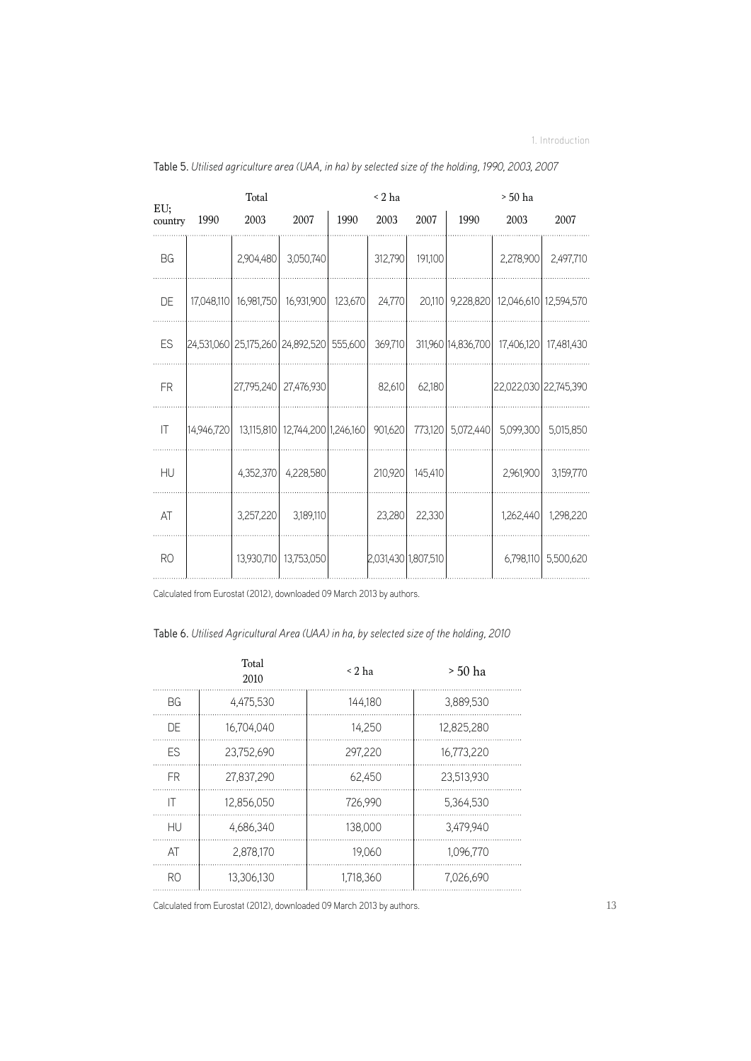|                |            | Total      |                                          |         | $\leq$ 2 ha |                       |                    | > 50 ha               |            |  |
|----------------|------------|------------|------------------------------------------|---------|-------------|-----------------------|--------------------|-----------------------|------------|--|
| EU;<br>country | 1990       | 2003       | 2007                                     | 1990    | 2003        | 2007                  | 1990               | 2003                  | 2007       |  |
| BG             |            | 2,904,480  | 3,050,740                                |         | 312,790     | 191,100               |                    | 2,278,900             | 2,497,710  |  |
| DE             | 17.048.110 | 16,981,750 | 16,931,900                               | 123.670 | 24,770      | 20,110                | 9,228,820          | 12,046,610 12,594,570 |            |  |
| ES             |            |            | 24,531,060 25,175,260 24,892,520 555,600 |         | 369,710     |                       | 311,960 14,836,700 | 17,406,120            | 17.481.430 |  |
| FR             |            |            | 27,795,240   27,476,930                  |         | 82,610      | 62,180                |                    | 22,022,030 22,745,390 |            |  |
| IT             | 14.946,720 |            | 13,115,810 12,744,200 1,246,160          |         | 901,620     | 773,120               | 5,072,440          | 5.099.300             | 5,015,850  |  |
| HU             |            | 4,352,370  | 4,228,580                                |         | 210,920     | 145,410               |                    | 2,961,900             | 3,159,770  |  |
| AT             |            | 3,257,220  | 3,189,110                                |         | 23,280      | 22,330                |                    | 1,262,440             | 1,298,220  |  |
| <b>RO</b>      |            | 13,930,710 | 13,753,050                               |         |             | 2,031,430   1,807,510 |                    | 6,798,110             | 5,500,620  |  |

Table 5. *Utilised agriculture area (UAA, in ha) by selected size of the holding, 1990, 2003, 2007*

Calculated from Eurostat (2012), downloaded 09 March 2013 by authors.

Table 6. *Utilised Agricultural Area (UAA) in ha, by selected size of the holding, 2010*

|     | Total<br>2010 | $\leq 2$ ha | > 50 ha    |
|-----|---------------|-------------|------------|
| BG  | 4.475.530     | 144.180     | 3,889,530  |
| DE  | 16.704.040    | 14,250      | 12,825,280 |
| ES  | 23,752,690    | 297,220     | 16,773,220 |
| FR. | 27.837.290    | 62.450      | 23,513,930 |
| IT  | 12,856,050    | 726.990     | 5,364,530  |
| HU  | 4.686.340     | 138,000     | 3.479.940  |
| AT  | 2,878,170     | 19.060      | 1,096,770  |
| RO  | 13.306.130    | 1,718,360   | 7,026,690  |
|     |               |             |            |

Calculated from Eurostat (2012), downloaded 09 March 2013 by authors.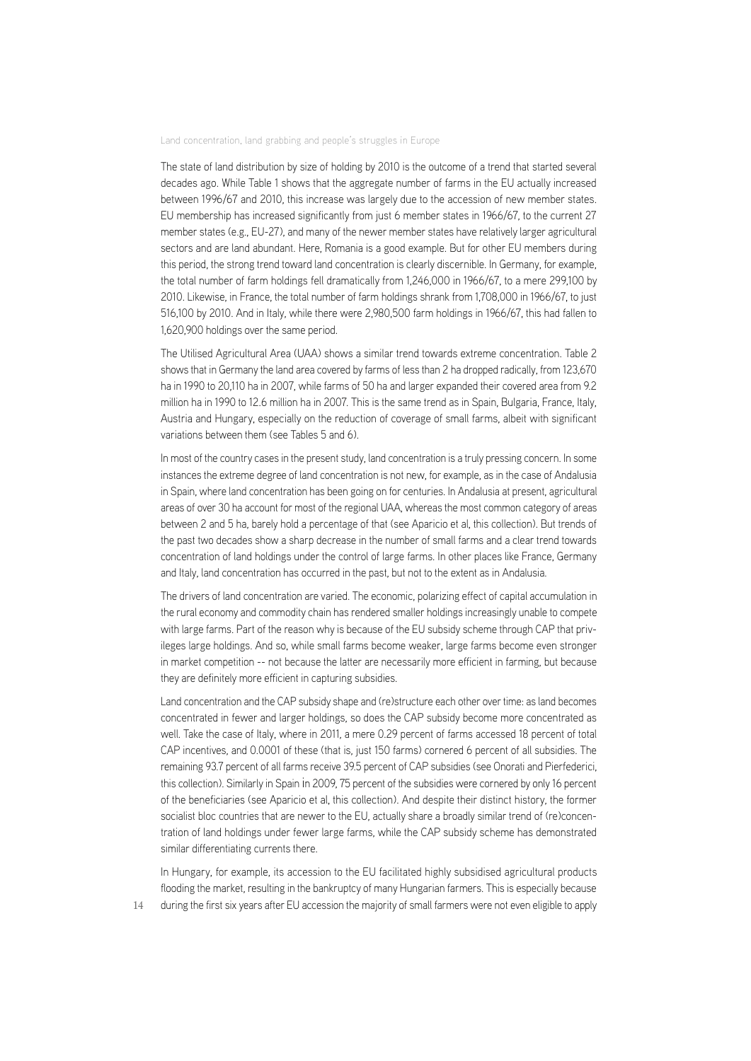The state of land distribution by size of holding by 2010 is the outcome of a trend that started several decades ago. While Table 1 shows that the aggregate number of farms in the EU actually increased between 1996/67 and 2010, this increase was largely due to the accession of new member states. EU membership has increased significantly from just 6 member states in 1966/67, to the current 27 member states (e.g., EU-27), and many of the newer member states have relatively larger agricultural sectors and are land abundant. Here, Romania is a good example. But for other EU members during this period, the strong trend toward land concentration is clearly discernible. In Germany, for example, the total number of farm holdings fell dramatically from 1,246,000 in 1966/67, to a mere 299,100 by 2010. Likewise, in France, the total number of farm holdings shrank from 1,708,000 in 1966/67, to just 516,100 by 2010. And in Italy, while there were 2,980,500 farm holdings in 1966/67, this had fallen to 1,620,900 holdings over the same period.

The Utilised Agricultural Area (UAA) shows a similar trend towards extreme concentration. Table 2 shows that in Germany the land area covered by farms of less than 2 ha dropped radically, from 123,670 ha in 1990 to 20,110 ha in 2007, while farms of 50 ha and larger expanded their covered area from 9.2 million ha in 1990 to 12.6 million ha in 2007. This is the same trend as in Spain, Bulgaria, France, Italy, Austria and Hungary, especially on the reduction of coverage of small farms, albeit with significant variations between them (see Tables 5 and 6).

In most of the country cases in the present study, land concentration is a truly pressing concern. In some instances the extreme degree of land concentration is not new, for example, as in the case of Andalusia in Spain, where land concentration has been going on for centuries. In Andalusia at present, agricultural areas of over 30 ha account for most of the regional UAA, whereas the most common category of areas between 2 and 5 ha, barely hold a percentage of that (see Aparicio et al, this collection). But trends of the past two decades show a sharp decrease in the number of small farms and a clear trend towards concentration of land holdings under the control of large farms. In other places like France, Germany and Italy, land concentration has occurred in the past, but not to the extent as in Andalusia.

The drivers of land concentration are varied. The economic, polarizing effect of capital accumulation in the rural economy and commodity chain has rendered smaller holdings increasingly unable to compete with large farms. Part of the reason why is because of the EU subsidy scheme through CAP that privileges large holdings. And so, while small farms become weaker, large farms become even stronger in market competition -- not because the latter are necessarily more efficient in farming, but because they are definitely more efficient in capturing subsidies.

Land concentration and the CAP subsidy shape and (re)structure each other over time: as land becomes concentrated in fewer and larger holdings, so does the CAP subsidy become more concentrated as well. Take the case of Italy, where in 2011, a mere 0.29 percent of farms accessed 18 percent of total CAP incentives, and 0.0001 of these (that is, just 150 farms) cornered 6 percent of all subsidies. The remaining 93.7 percent of all farms receive 39.5 percent of CAP subsidies (see Onorati and Pierfederici, this collection). Similarly in Spain in 2009, 75 percent of the subsidies were cornered by only 16 percent of the beneficiaries (see Aparicio et al, this collection). And despite their distinct history, the former socialist bloc countries that are newer to the EU, actually share a broadly similar trend of (re)concentration of land holdings under fewer large farms, while the CAP subsidy scheme has demonstrated similar differentiating currents there.

In Hungary, for example, its accession to the EU facilitated highly subsidised agricultural products flooding the market, resulting in the bankruptcy of many Hungarian farmers. This is especially because

14 during the first six years after EU accession the majority of small farmers were not even eligible to apply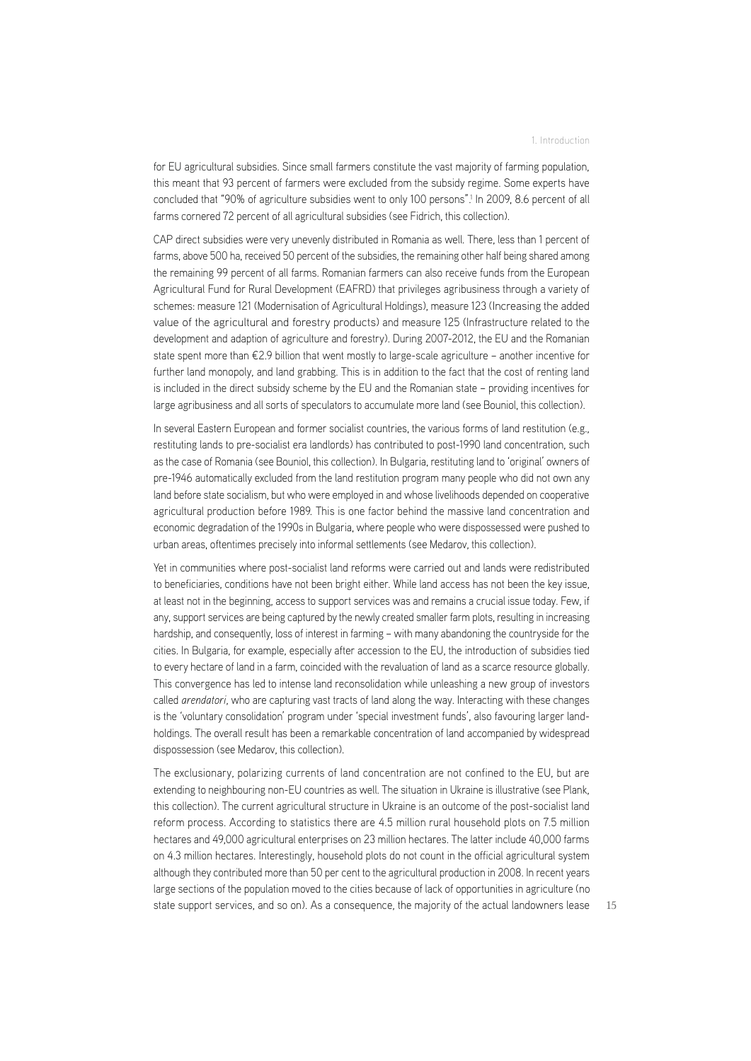for EU agricultural subsidies. Since small farmers constitute the vast majority of farming population, this meant that 93 percent of farmers were excluded from the subsidy regime. Some experts have concluded that "90% of agriculture subsidies went to only 100 persons".<sup>1</sup> In 2009, 8.6 percent of all farms cornered 72 percent of all agricultural subsidies (see Fidrich, this collection).

CAP direct subsidies were very unevenly distributed in Romania as well. There, less than 1 percent of farms, above 500 ha, received 50 percent of the subsidies, the remaining other half being shared among the remaining 99 percent of all farms. Romanian farmers can also receive funds from the European Agricultural Fund for Rural Development (EAFRD) that privileges agribusiness through a variety of schemes: measure 121 (Modernisation of Agricultural Holdings), measure 123 (Increasing the added value of the agricultural and forestry products) and measure 125 (Infrastructure related to the development and adaption of agriculture and forestry). During 2007-2012, the EU and the Romanian state spent more than €2.9 billion that went mostly to large-scale agriculture – another incentive for further land monopoly, and land grabbing. This is in addition to the fact that the cost of renting land is included in the direct subsidy scheme by the EU and the Romanian state – providing incentives for large agribusiness and all sorts of speculators to accumulate more land (see Bouniol, this collection).

In several Eastern European and former socialist countries, the various forms of land restitution (e.g., restituting lands to pre-socialist era landlords) has contributed to post-1990 land concentration, such as the case of Romania (see Bouniol, this collection). In Bulgaria, restituting land to 'original' owners of pre-1946 automatically excluded from the land restitution program many people who did not own any land before state socialism, but who were employed in and whose livelihoods depended on cooperative agricultural production before 1989. This is one factor behind the massive land concentration and economic degradation of the 1990s in Bulgaria, where people who were dispossessed were pushed to urban areas, oftentimes precisely into informal settlements (see Medarov, this collection).

Yet in communities where post-socialist land reforms were carried out and lands were redistributed to beneficiaries, conditions have not been bright either. While land access has not been the key issue, at least not in the beginning, access to support services was and remains a crucial issue today. Few, if any, support services are being captured by the newly created smaller farm plots, resulting in increasing hardship, and consequently, loss of interest in farming – with many abandoning the countryside for the cities. In Bulgaria, for example, especially after accession to the EU, the introduction of subsidies tied to every hectare of land in a farm, coincided with the revaluation of land as a scarce resource globally. This convergence has led to intense land reconsolidation while unleashing a new group of investors called *arendatori*, who are capturing vast tracts of land along the way. Interacting with these changes is the 'voluntary consolidation' program under 'special investment funds', also favouring larger landholdings. The overall result has been a remarkable concentration of land accompanied by widespread dispossession (see Medarov, this collection).

The exclusionary, polarizing currents of land concentration are not confined to the EU, but are extending to neighbouring non-EU countries as well. The situation in Ukraine is illustrative (see Plank, this collection). The current agricultural structure in Ukraine is an outcome of the post-socialist land reform process. According to statistics there are 4.5 million rural household plots on 7.5 million hectares and 49,000 agricultural enterprises on 23 million hectares. The latter include 40,000 farms on 4.3 million hectares. Interestingly, household plots do not count in the official agricultural system although they contributed more than 50 per cent to the agricultural production in 2008. In recent years large sections of the population moved to the cities because of lack of opportunities in agriculture (no state support services, and so on). As a consequence, the majority of the actual landowners lease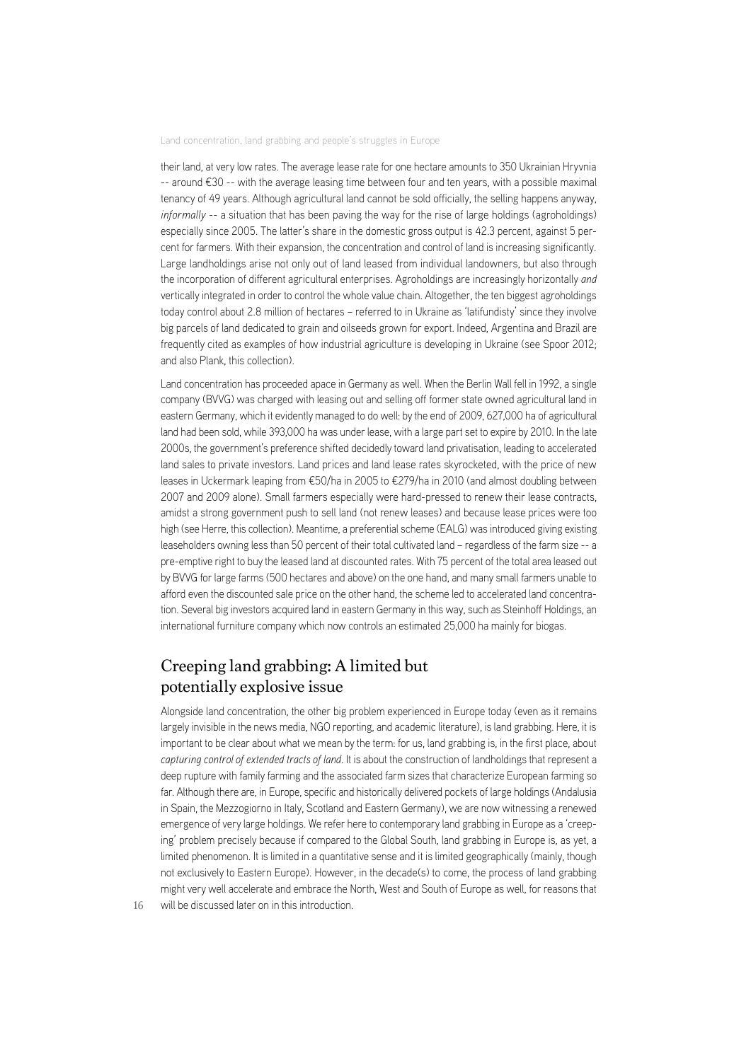their land, at very low rates. The average lease rate for one hectare amounts to 350 Ukrainian Hryvnia -- around €30 -- with the average leasing time between four and ten years, with a possible maximal tenancy of 49 years. Although agricultural land cannot be sold officially, the selling happens anyway, *informally* -- a situation that has been paving the way for the rise of large holdings (agroholdings) especially since 2005. The latter's share in the domestic gross output is 42.3 percent, against 5 percent for farmers. With their expansion, the concentration and control of land is increasing significantly. Large landholdings arise not only out of land leased from individual landowners, but also through the incorporation of different agricultural enterprises. Agroholdings are increasingly horizontally *and* vertically integrated in order to control the whole value chain. Altogether, the ten biggest agroholdings today control about 2.8 million of hectares – referred to in Ukraine as 'latifundisty' since they involve big parcels of land dedicated to grain and oilseeds grown for export. Indeed, Argentina and Brazil are frequently cited as examples of how industrial agriculture is developing in Ukraine (see Spoor 2012; and also Plank, this collection).

Land concentration has proceeded apace in Germany as well. When the Berlin Wall fell in 1992, a single company (BVVG) was charged with leasing out and selling off former state owned agricultural land in eastern Germany, which it evidently managed to do well: by the end of 2009, 627,000 ha of agricultural land had been sold, while 393,000 ha was under lease, with a large part set to expire by 2010. In the late 2000s, the government's preference shifted decidedly toward land privatisation, leading to accelerated land sales to private investors. Land prices and land lease rates skyrocketed, with the price of new leases in Uckermark leaping from €50/ha in 2005 to €279/ha in 2010 (and almost doubling between 2007 and 2009 alone). Small farmers especially were hard-pressed to renew their lease contracts, amidst a strong government push to sell land (not renew leases) and because lease prices were too high (see Herre, this collection). Meantime, a preferential scheme (EALG) was introduced giving existing leaseholders owning less than 50 percent of their total cultivated land – regardless of the farm size -- a pre-emptive right to buy the leased land at discounted rates. With 75 percent of the total area leased out by BVVG for large farms (500 hectares and above) on the one hand, and many small farmers unable to afford even the discounted sale price on the other hand, the scheme led to accelerated land concentration. Several big investors acquired land in eastern Germany in this way, such as Steinhoff Holdings, an international furniture company which now controls an estimated 25,000 ha mainly for biogas.

# Creeping land grabbing: A limited but potentially explosive issue

Alongside land concentration, the other big problem experienced in Europe today (even as it remains largely invisible in the news media, NGO reporting, and academic literature), is land grabbing. Here, it is important to be clear about what we mean by the term: for us, land grabbing is, in the first place, about *capturing control of extended tracts of land*. It is about the construction of landholdings that represent a deep rupture with family farming and the associated farm sizes that characterize European farming so far. Although there are, in Europe, specific and historically delivered pockets of large holdings (Andalusia in Spain, the Mezzogiorno in Italy, Scotland and Eastern Germany), we are now witnessing a renewed emergence of very large holdings. We refer here to contemporary land grabbing in Europe as a 'creeping' problem precisely because if compared to the Global South, land grabbing in Europe is, as yet, a limited phenomenon. It is limited in a quantitative sense and it is limited geographically (mainly, though not exclusively to Eastern Europe). However, in the decade(s) to come, the process of land grabbing might very well accelerate and embrace the North, West and South of Europe as well, for reasons that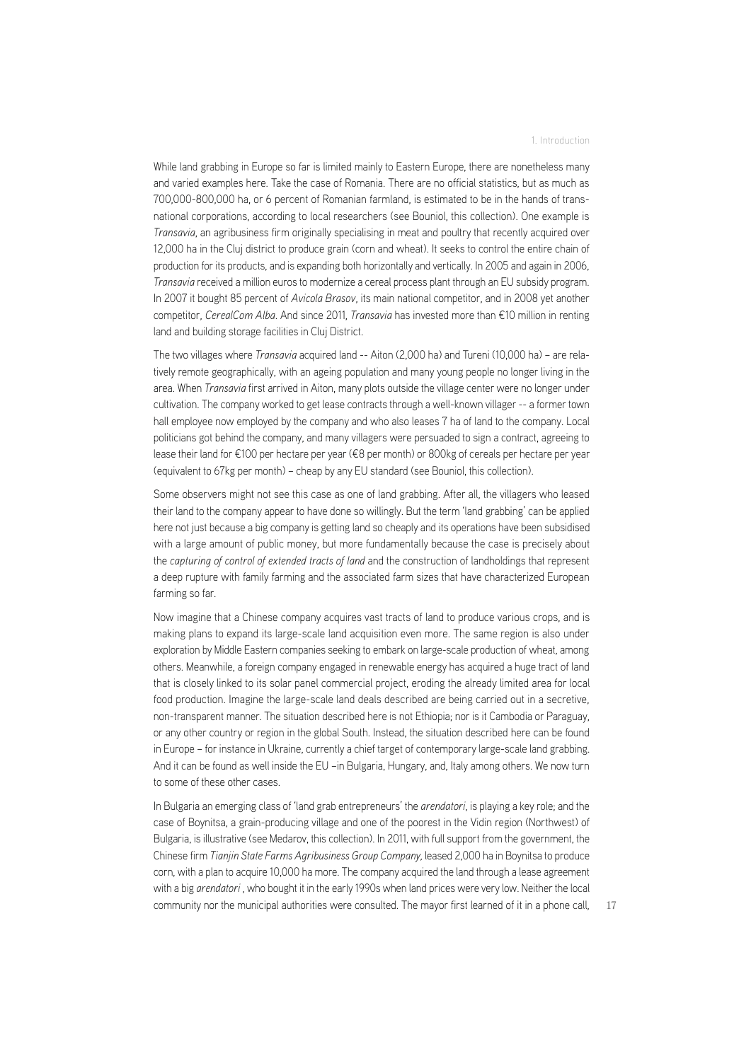While land grabbing in Europe so far is limited mainly to Eastern Europe, there are nonetheless many and varied examples here. Take the case of Romania. There are no official statistics, but as much as 700,000-800,000 ha, or 6 percent of Romanian farmland, is estimated to be in the hands of transnational corporations, according to local researchers (see Bouniol, this collection). One example is *Transavia*, an agribusiness firm originally specialising in meat and poultry that recently acquired over 12,000 ha in the Cluj district to produce grain (corn and wheat). It seeks to control the entire chain of production for its products, and is expanding both horizontally and vertically. In 2005 and again in 2006, *Transavia* received a million euros to modernize a cereal process plant through an EU subsidy program. In 2007 it bought 85 percent of *Avicola Brasov*, its main national competitor, and in 2008 yet another competitor, *CerealCom Alba*. And since 2011, *Transavia* has invested more than €10 million in renting land and building storage facilities in Cluj District.

The two villages where *Transavia* acquired land -- Aiton (2,000 ha) and Tureni (10,000 ha) – are relatively remote geographically, with an ageing population and many young people no longer living in the area. When *Transavia* first arrived in Aiton, many plots outside the village center were no longer under cultivation. The company worked to get lease contracts through a well-known villager -- a former town hall employee now employed by the company and who also leases 7 ha of land to the company. Local politicians got behind the company, and many villagers were persuaded to sign a contract, agreeing to lease their land for €100 per hectare per year (€8 per month) or 800kg of cereals per hectare per year (equivalent to 67kg per month) – cheap by any EU standard (see Bouniol, this collection).

Some observers might not see this case as one of land grabbing. After all, the villagers who leased their land to the company appear to have done so willingly. But the term 'land grabbing' can be applied here not just because a big company is getting land so cheaply and its operations have been subsidised with a large amount of public money, but more fundamentally because the case is precisely about the *capturing of control of extended tracts of land* and the construction of landholdings that represent a deep rupture with family farming and the associated farm sizes that have characterized European farming so far.

Now imagine that a Chinese company acquires vast tracts of land to produce various crops, and is making plans to expand its large-scale land acquisition even more. The same region is also under exploration by Middle Eastern companies seeking to embark on large-scale production of wheat, among others. Meanwhile, a foreign company engaged in renewable energy has acquired a huge tract of land that is closely linked to its solar panel commercial project, eroding the already limited area for local food production. Imagine the large-scale land deals described are being carried out in a secretive, non-transparent manner. The situation described here is not Ethiopia; nor is it Cambodia or Paraguay, or any other country or region in the global South. Instead, the situation described here can be found in Europe – for instance in Ukraine, currently a chief target of contemporary large-scale land grabbing. And it can be found as well inside the EU –in Bulgaria, Hungary, and, Italy among others. We now turn to some of these other cases.

In Bulgaria an emerging class of 'land grab entrepreneurs' the *arendatori*, is playing a key role; and the case of Boynitsa, a grain-producing village and one of the poorest in the Vidin region (Northwest) of Bulgaria, is illustrative (see Medarov, this collection). In 2011, with full support from the government, the Chinese firm *Tianjin State Farms Agribusiness Group Company,* leased 2,000 ha in Boynitsa to produce corn, with a plan to acquire 10,000 ha more. The company acquired the land through a lease agreement with a big *arendatori* , who bought it in the early 1990s when land prices were very low. Neither the local community nor the municipal authorities were consulted. The mayor first learned of it in a phone call,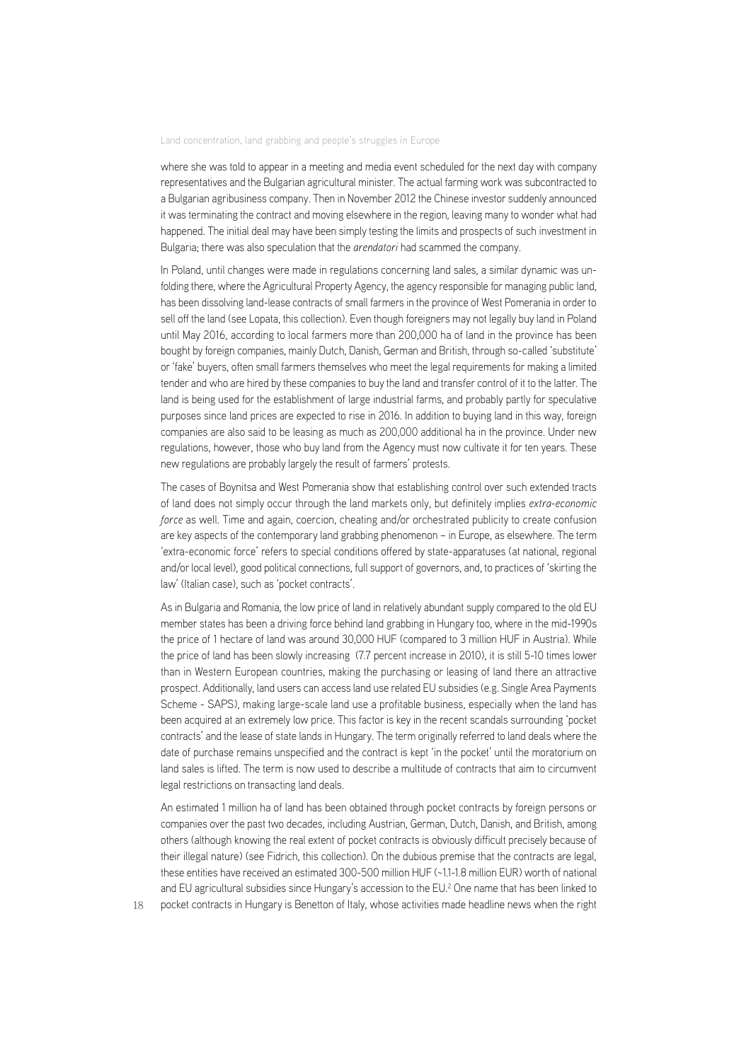where she was told to appear in a meeting and media event scheduled for the next day with company representatives and the Bulgarian agricultural minister. The actual farming work was subcontracted to a Bulgarian agribusiness company. Then in November 2012 the Chinese investor suddenly announced it was terminating the contract and moving elsewhere in the region, leaving many to wonder what had happened. The initial deal may have been simply testing the limits and prospects of such investment in Bulgaria; there was also speculation that the *arendatori* had scammed the company.

In Poland, until changes were made in regulations concerning land sales, a similar dynamic was unfolding there, where the Agricultural Property Agency, the agency responsible for managing public land, has been dissolving land-lease contracts of small farmers in the province of West Pomerania in order to sell off the land (see Lopata, this collection). Even though foreigners may not legally buy land in Poland until May 2016, according to local farmers more than 200,000 ha of land in the province has been bought by foreign companies, mainly Dutch, Danish, German and British, through so-called 'substitute' or 'fake' buyers, often small farmers themselves who meet the legal requirements for making a limited tender and who are hired by these companies to buy the land and transfer control of it to the latter. The land is being used for the establishment of large industrial farms, and probably partly for speculative purposes since land prices are expected to rise in 2016. In addition to buying land in this way, foreign companies are also said to be leasing as much as 200,000 additional ha in the province. Under new regulations, however, those who buy land from the Agency must now cultivate it for ten years. These new regulations are probably largely the result of farmers' protests.

The cases of Boynitsa and West Pomerania show that establishing control over such extended tracts of land does not simply occur through the land markets only, but definitely implies *extra-economic force* as well. Time and again, coercion, cheating and/or orchestrated publicity to create confusion are key aspects of the contemporary land grabbing phenomenon – in Europe, as elsewhere. The term 'extra-economic force' refers to special conditions offered by state-apparatuses (at national, regional and/or local level), good political connections, full support of governors, and, to practices of 'skirting the law' (Italian case), such as 'pocket contracts'.

As in Bulgaria and Romania, the low price of land in relatively abundant supply compared to the old EU member states has been a driving force behind land grabbing in Hungary too, where in the mid-1990s the price of 1 hectare of land was around 30,000 HUF (compared to 3 million HUF in Austria). While the price of land has been slowly increasing (7.7 percent increase in 2010), it is still 5-10 times lower than in Western European countries, making the purchasing or leasing of land there an attractive prospect. Additionally, land users can access land use related EU subsidies (e.g. Single Area Payments Scheme - SAPS), making large-scale land use a profitable business, especially when the land has been acquired at an extremely low price. This factor is key in the recent scandals surrounding 'pocket contracts' and the lease of state lands in Hungary. The term originally referred to land deals where the date of purchase remains unspecified and the contract is kept 'in the pocket' until the moratorium on land sales is lifted. The term is now used to describe a multitude of contracts that aim to circumvent legal restrictions on transacting land deals.

An estimated 1 million ha of land has been obtained through pocket contracts by foreign persons or companies over the past two decades, including Austrian, German, Dutch, Danish, and British, among others (although knowing the real extent of pocket contracts is obviously difficult precisely because of their illegal nature) (see Fidrich, this collection). On the dubious premise that the contracts are legal, these entities have received an estimated 300-500 million HUF (~1.1-1.8 million EUR) worth of national and EU agricultural subsidies since Hungary's accession to the  $EU^2$  One name that has been linked to

18 pocket contracts in Hungary is Benetton of Italy, whose activities made headline news when the right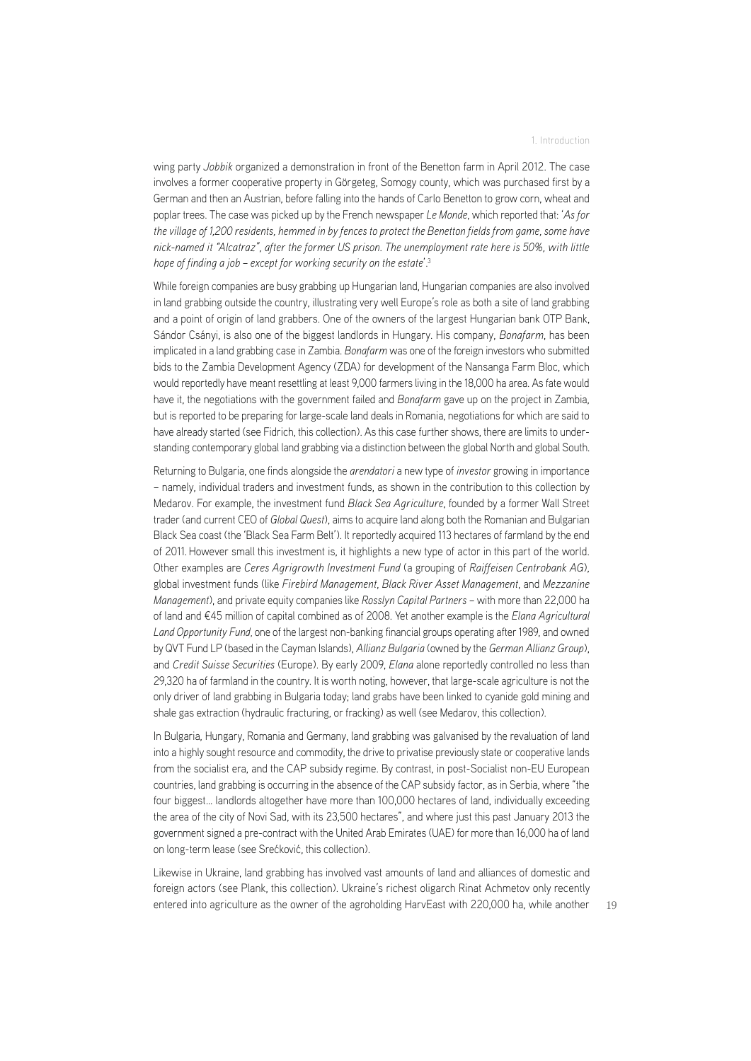wing party *Jobbik* organized a demonstration in front of the Benetton farm in April 2012. The case involves a former cooperative property in Görgeteg, Somogy county, which was purchased first by a German and then an Austrian, before falling into the hands of Carlo Benetton to grow corn, wheat and poplar trees. The case was picked up by the French newspaper *Le Monde*, which reported that: '*As for the village of 1,200 residents, hemmed in by fences to protect the Benetton fields from game, some have nick-named it "Alcatraz", after the former US prison. The unemployment rate here is 50%, with little hope of finding a job – except for working security on the estate*'.3

While foreign companies are busy grabbing up Hungarian land, Hungarian companies are also involved in land grabbing outside the country, illustrating very well Europe's role as both a site of land grabbing and a point of origin of land grabbers. One of the owners of the largest Hungarian bank OTP Bank, Sándor Csányi, is also one of the biggest landlords in Hungary. His company, *Bonafarm*, has been implicated in a land grabbing case in Zambia. *Bonafarm* was one of the foreign investors who submitted bids to the Zambia Development Agency (ZDA) for development of the Nansanga Farm Bloc, which would reportedly have meant resettling at least 9,000 farmers living in the 18,000 ha area. As fate would have it, the negotiations with the government failed and *Bonafarm* gave up on the project in Zambia, but is reported to be preparing for large-scale land deals in Romania, negotiations for which are said to have already started (see Fidrich, this collection). As this case further shows, there are limits to understanding contemporary global land grabbing via a distinction between the global North and global South.

Returning to Bulgaria, one finds alongside the *arendatori* a new type of *investor* growing in importance – namely, individual traders and investment funds, as shown in the contribution to this collection by Medarov. For example, the investment fund *Black Sea Agriculture*, founded by a former Wall Street trader (and current CEO of *Global Quest*), aims to acquire land along both the Romanian and Bulgarian Black Sea coast (the 'Black Sea Farm Belt'). It reportedly acquired 113 hectares of farmland by the end of 2011. However small this investment is, it highlights a new type of actor in this part of the world. Other examples are *Ceres Agrigrowth Investment Fund* (a grouping of *Raiffeisen Centrobank AG*), global investment funds (like *Firebird Management*, *Black River Asset Management*, and *Mezzanine Management*), and private equity companies like *Rosslyn Capital Partners* – with more than 22,000 ha of land and €45 million of capital combined as of 2008. Yet another example is the *Elana Agricultural Land Opportunity Fund*, one of the largest non-banking financial groups operating after 1989, and owned by QVT Fund LP (based in the Cayman Islands), *Allianz Bulgaria* (owned by the *German Allianz Group*), and *Credit Suisse Securities* (Europe). By early 2009, *Elana* alone reportedly controlled no less than 29,320 ha of farmland in the country. It is worth noting, however, that large-scale agriculture is not the only driver of land grabbing in Bulgaria today; land grabs have been linked to cyanide gold mining and shale gas extraction (hydraulic fracturing, or fracking) as well (see Medarov, this collection).

In Bulgaria, Hungary, Romania and Germany, land grabbing was galvanised by the revaluation of land into a highly sought resource and commodity, the drive to privatise previously state or cooperative lands from the socialist era, and the CAP subsidy regime. By contrast, in post-Socialist non-EU European countries, land grabbing is occurring in the absence of the CAP subsidy factor, as in Serbia, where "the four biggest… landlords altogether have more than 100,000 hectares of land, individually exceeding the area of the city of Novi Sad, with its 23,500 hectares", and where just this past January 2013 the government signed a pre-contract with the United Arab Emirates (UAE) for more than 16,000 ha of land on long-term lease (see Srećković, this collection).

Likewise in Ukraine, land grabbing has involved vast amounts of land and alliances of domestic and foreign actors (see Plank, this collection). Ukraine's richest oligarch Rinat Achmetov only recently entered into agriculture as the owner of the agroholding HarvEast with 220,000 ha, while another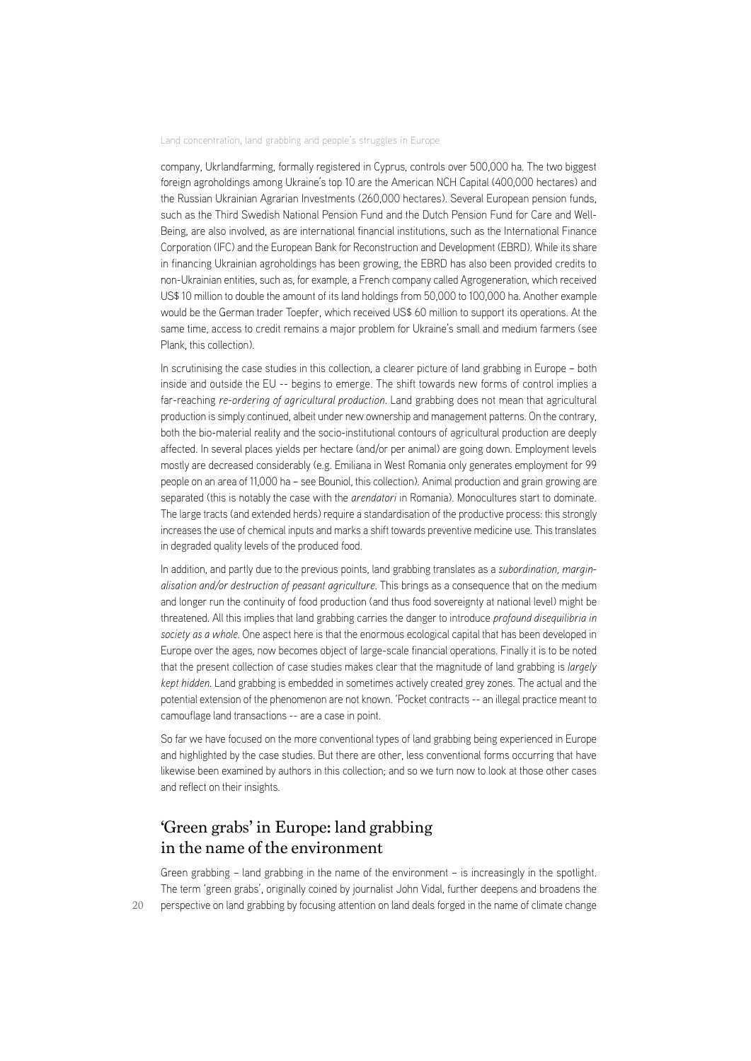company, Ukrlandfarming, formally registered in Cyprus, controls over 500,000 ha. The two biggest foreign agroholdings among Ukraine's top 10 are the American NCH Capital (400,000 hectares) and the Russian Ukrainian Agrarian Investments (260,000 hectares). Several European pension funds, such as the Third Swedish National Pension Fund and the Dutch Pension Fund for Care and Well-Being, are also involved, as are international financial institutions, such as the International Finance Corporation (IFC) and the European Bank for Reconstruction and Development (EBRD). While its share in financing Ukrainian agroholdings has been growing, the EBRD has also been provided credits to non-Ukrainian entities, such as, for example, a French company called Agrogeneration, which received US\$ 10 million to double the amount of its land holdings from 50,000 to 100,000 ha. Another example would be the German trader Toepfer, which received US\$ 60 million to support its operations. At the same time, access to credit remains a major problem for Ukraine's small and medium farmers (see Plank, this collection).

In scrutinising the case studies in this collection, a clearer picture of land grabbing in Europe – both inside and outside the EU -- begins to emerge. The shift towards new forms of control implies a far-reaching *re-ordering of agricultural production*. Land grabbing does not mean that agricultural production is simply continued, albeit under new ownership and management patterns. On the contrary, both the bio-material reality and the socio-institutional contours of agricultural production are deeply affected. In several places yields per hectare (and/or per animal) are going down. Employment levels mostly are decreased considerably (e.g. Emiliana in West Romania only generates employment for 99 people on an area of 11,000 ha – see Bouniol, this collection). Animal production and grain growing are separated (this is notably the case with the *arendatori* in Romania). Monocultures start to dominate. The large tracts (and extended herds) require a standardisation of the productive process: this strongly increases the use of chemical inputs and marks a shift towards preventive medicine use. This translates in degraded quality levels of the produced food.

In addition, and partly due to the previous points, land grabbing translates as a *subordination, marginalisation and/or destruction of peasant agriculture*. This brings as a consequence that on the medium and longer run the continuity of food production (and thus food sovereignty at national level) might be threatened. All this implies that land grabbing carries the danger to introduce *profound disequilibria in society as a whole.* One aspect here is that the enormous ecological capital that has been developed in Europe over the ages, now becomes object of large-scale financial operations. Finally it is to be noted that the present collection of case studies makes clear that the magnitude of land grabbing is *largely kept hidden*. Land grabbing is embedded in sometimes actively created grey zones. The actual and the potential extension of the phenomenon are not known. 'Pocket contracts -- an illegal practice meant to camouflage land transactions -- are a case in point.

So far we have focused on the more conventional types of land grabbing being experienced in Europe and highlighted by the case studies. But there are other, less conventional forms occurring that have likewise been examined by authors in this collection; and so we turn now to look at those other cases and reflect on their insights.

## 'Green grabs' in Europe: land grabbing in the name of the environment

Green grabbing – land grabbing in the name of the environment – is increasingly in the spotlight. The term 'green grabs', originally coined by journalist John Vidal, further deepens and broadens the perspective on land grabbing by focusing attention on land deals forged in the name of climate change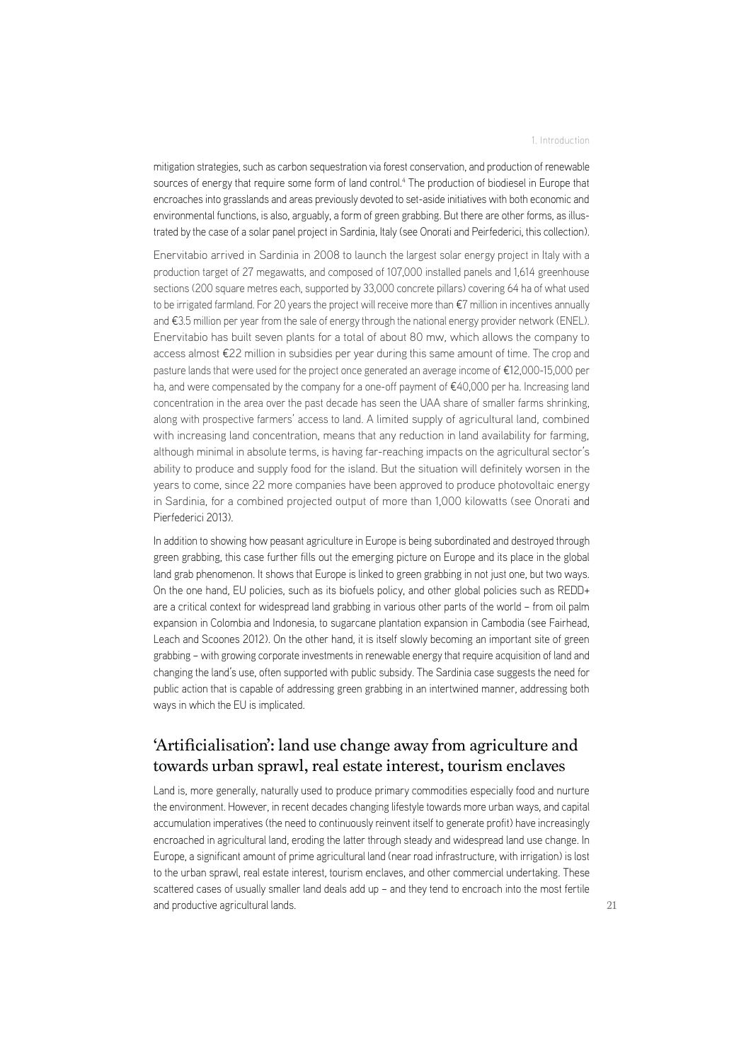mitigation strategies, such as carbon sequestration via forest conservation, and production of renewable sources of energy that require some form of land control.<sup>4</sup> The production of biodiesel in Europe that encroaches into grasslands and areas previously devoted to set-aside initiatives with both economic and environmental functions, is also, arguably, a form of green grabbing. But there are other forms, as illustrated by the case of a solar panel project in Sardinia, Italy (see Onorati and Peirfederici, this collection).

Enervitabio arrived in Sardinia in 2008 to launch the largest solar energy project in Italy with a production target of 27 megawatts, and composed of 107,000 installed panels and 1,614 greenhouse sections (200 square metres each, supported by 33,000 concrete pillars) covering 64 ha of what used to be irrigated farmland. For 20 years the project will receive more than €7 million in incentives annually and €3.5 million per year from the sale of energy through the national energy provider network (ENEL). Enervitabio has built seven plants for a total of about 80 mw, which allows the company to access almost €22 million in subsidies per year during this same amount of time. The crop and pasture lands that were used for the project once generated an average income of €12,000-15,000 per ha, and were compensated by the company for a one-off payment of €40,000 per ha. Increasing land concentration in the area over the past decade has seen the UAA share of smaller farms shrinking, along with prospective farmers' access to land. A limited supply of agricultural land, combined with increasing land concentration, means that any reduction in land availability for farming, although minimal in absolute terms, is having far-reaching impacts on the agricultural sector's ability to produce and supply food for the island. But the situation will definitely worsen in the years to come, since 22 more companies have been approved to produce photovoltaic energy in Sardinia, for a combined projected output of more than 1,000 kilowatts (see Onorati and Pierfederici 2013).

In addition to showing how peasant agriculture in Europe is being subordinated and destroyed through green grabbing, this case further fills out the emerging picture on Europe and its place in the global land grab phenomenon. It shows that Europe is linked to green grabbing in not just one, but two ways. On the one hand, EU policies, such as its biofuels policy, and other global policies such as REDD+ are a critical context for widespread land grabbing in various other parts of the world – from oil palm expansion in Colombia and Indonesia, to sugarcane plantation expansion in Cambodia (see Fairhead, Leach and Scoones 2012). On the other hand, it is itself slowly becoming an important site of green grabbing – with growing corporate investments in renewable energy that require acquisition of land and changing the land's use, often supported with public subsidy. The Sardinia case suggests the need for public action that is capable of addressing green grabbing in an intertwined manner, addressing both ways in which the EU is implicated.

### 'Artificialisation': land use change away from agriculture and towards urban sprawl, real estate interest, tourism enclaves

Land is, more generally, naturally used to produce primary commodities especially food and nurture the environment. However, in recent decades changing lifestyle towards more urban ways, and capital accumulation imperatives (the need to continuously reinvent itself to generate profit) have increasingly encroached in agricultural land, eroding the latter through steady and widespread land use change. In Europe, a significant amount of prime agricultural land (near road infrastructure, with irrigation) is lost to the urban sprawl, real estate interest, tourism enclaves, and other commercial undertaking. These scattered cases of usually smaller land deals add up – and they tend to encroach into the most fertile and productive agricultural lands.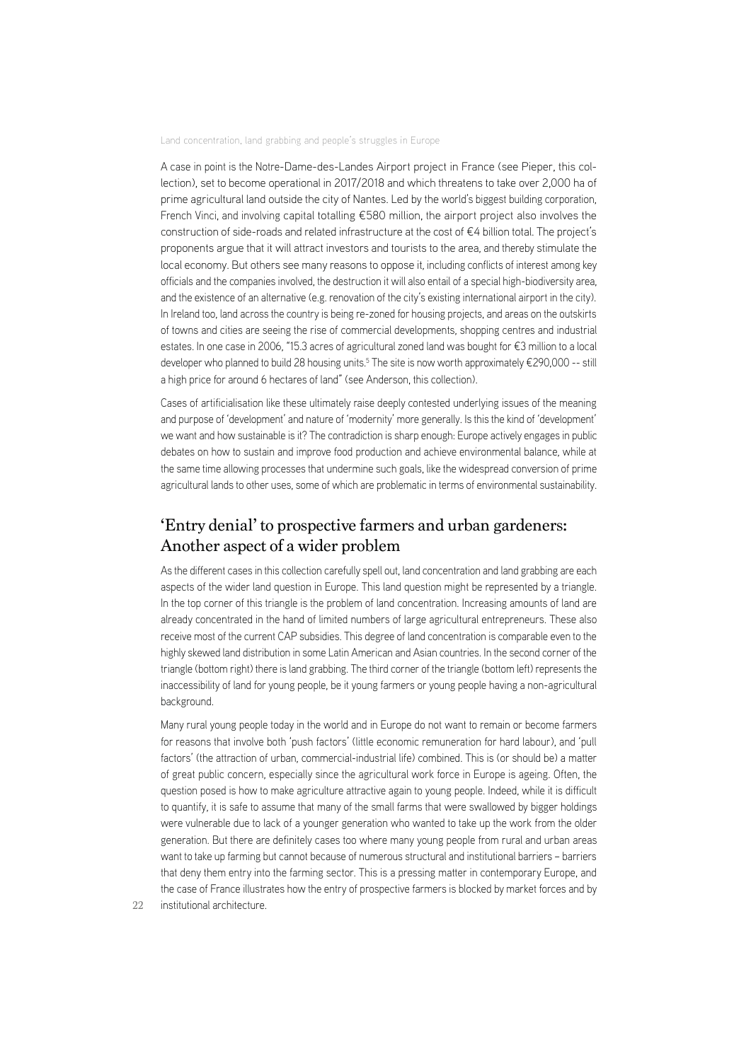A case in point is the Notre-Dame-des-Landes Airport project in France (see Pieper, this collection), set to become operational in 2017/2018 and which threatens to take over 2,000 ha of prime agricultural land outside the city of Nantes. Led by the world's biggest building corporation, French Vinci, and involving capital totalling €580 million, the airport project also involves the construction of side-roads and related infrastructure at the cost of €4 billion total. The project's proponents argue that it will attract investors and tourists to the area, and thereby stimulate the local economy. But others see many reasons to oppose it, including conflicts of interest among key officials and the companies involved, the destruction it will also entail of a special high-biodiversity area, and the existence of an alternative (e.g. renovation of the city's existing international airport in the city). In Ireland too, land across the country is being re-zoned for housing projects, and areas on the outskirts of towns and cities are seeing the rise of commercial developments, shopping centres and industrial estates. In one case in 2006, "15.3 acres of agricultural zoned land was bought for €3 million to a local developer who planned to build 28 housing units.<sup>5</sup> The site is now worth approximately €290,000 -- still a high price for around 6 hectares of land" (see Anderson, this collection).

Cases of artificialisation like these ultimately raise deeply contested underlying issues of the meaning and purpose of 'development' and nature of 'modernity' more generally. Is this the kind of 'development' we want and how sustainable is it? The contradiction is sharp enough: Europe actively engages in public debates on how to sustain and improve food production and achieve environmental balance, while at the same time allowing processes that undermine such goals, like the widespread conversion of prime agricultural lands to other uses, some of which are problematic in terms of environmental sustainability.

# 'Entry denial' to prospective farmers and urban gardeners: Another aspect of a wider problem

As the different cases in this collection carefully spell out, land concentration and land grabbing are each aspects of the wider land question in Europe. This land question might be represented by a triangle. In the top corner of this triangle is the problem of land concentration. Increasing amounts of land are already concentrated in the hand of limited numbers of large agricultural entrepreneurs. These also receive most of the current CAP subsidies. This degree of land concentration is comparable even to the highly skewed land distribution in some Latin American and Asian countries. In the second corner of the triangle (bottom right) there is land grabbing. The third corner of the triangle (bottom left) represents the inaccessibility of land for young people, be it young farmers or young people having a non-agricultural background.

Many rural young people today in the world and in Europe do not want to remain or become farmers for reasons that involve both 'push factors' (little economic remuneration for hard labour), and 'pull factors' (the attraction of urban, commercial-industrial life) combined. This is (or should be) a matter of great public concern, especially since the agricultural work force in Europe is ageing. Often, the question posed is how to make agriculture attractive again to young people. Indeed, while it is difficult to quantify, it is safe to assume that many of the small farms that were swallowed by bigger holdings were vulnerable due to lack of a younger generation who wanted to take up the work from the older generation. But there are definitely cases too where many young people from rural and urban areas want to take up farming but cannot because of numerous structural and institutional barriers – barriers that deny them entry into the farming sector. This is a pressing matter in contemporary Europe, and the case of France illustrates how the entry of prospective farmers is blocked by market forces and by

22 institutional architecture.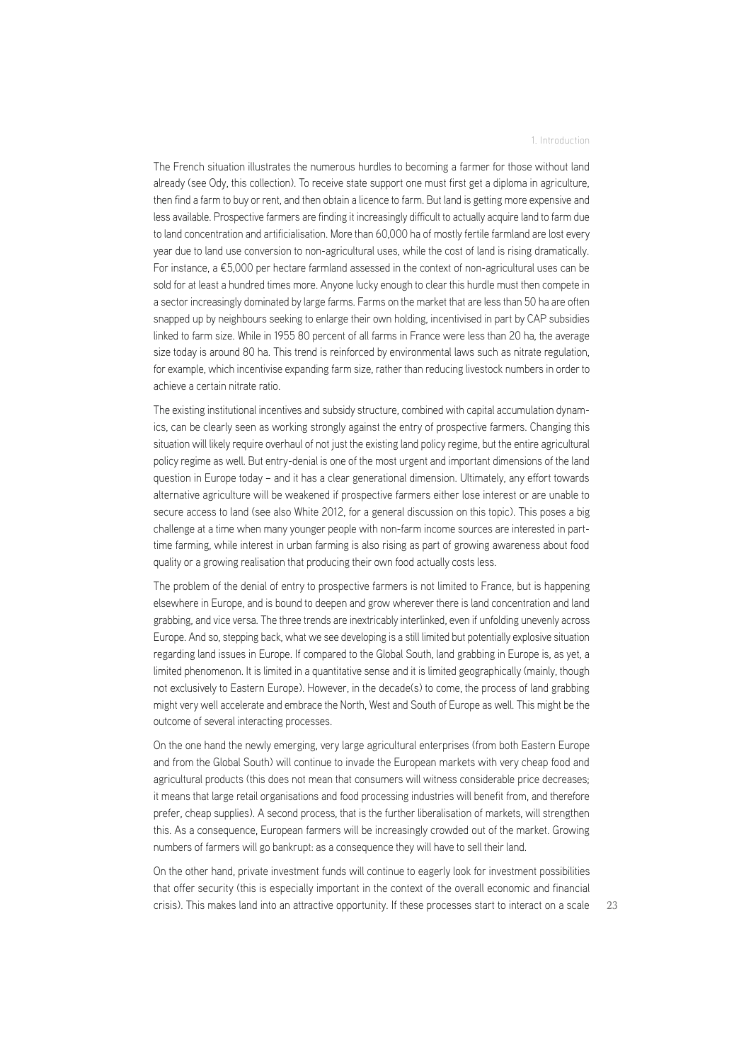The French situation illustrates the numerous hurdles to becoming a farmer for those without land already (see Ody, this collection). To receive state support one must first get a diploma in agriculture, then find a farm to buy or rent, and then obtain a licence to farm. But land is getting more expensive and less available. Prospective farmers are finding it increasingly difficult to actually acquire land to farm due to land concentration and artificialisation. More than 60,000 ha of mostly fertile farmland are lost every year due to land use conversion to non-agricultural uses, while the cost of land is rising dramatically. For instance, a €5,000 per hectare farmland assessed in the context of non-agricultural uses can be sold for at least a hundred times more. Anyone lucky enough to clear this hurdle must then compete in a sector increasingly dominated by large farms. Farms on the market that are less than 50 ha are often snapped up by neighbours seeking to enlarge their own holding, incentivised in part by CAP subsidies linked to farm size. While in 1955 80 percent of all farms in France were less than 20 ha, the average size today is around 80 ha. This trend is reinforced by environmental laws such as nitrate regulation, for example, which incentivise expanding farm size, rather than reducing livestock numbers in order to achieve a certain nitrate ratio.

The existing institutional incentives and subsidy structure, combined with capital accumulation dynamics, can be clearly seen as working strongly against the entry of prospective farmers. Changing this situation will likely require overhaul of not just the existing land policy regime, but the entire agricultural policy regime as well. But entry-denial is one of the most urgent and important dimensions of the land question in Europe today – and it has a clear generational dimension. Ultimately, any effort towards alternative agriculture will be weakened if prospective farmers either lose interest or are unable to secure access to land (see also White 2012, for a general discussion on this topic). This poses a big challenge at a time when many younger people with non-farm income sources are interested in parttime farming, while interest in urban farming is also rising as part of growing awareness about food quality or a growing realisation that producing their own food actually costs less.

The problem of the denial of entry to prospective farmers is not limited to France, but is happening elsewhere in Europe, and is bound to deepen and grow wherever there is land concentration and land grabbing, and vice versa. The three trends are inextricably interlinked, even if unfolding unevenly across Europe. And so, stepping back, what we see developing is a still limited but potentially explosive situation regarding land issues in Europe. If compared to the Global South, land grabbing in Europe is, as yet, a limited phenomenon. It is limited in a quantitative sense and it is limited geographically (mainly, though not exclusively to Eastern Europe). However, in the decade(s) to come, the process of land grabbing might very well accelerate and embrace the North, West and South of Europe as well. This might be the outcome of several interacting processes.

On the one hand the newly emerging, very large agricultural enterprises (from both Eastern Europe and from the Global South) will continue to invade the European markets with very cheap food and agricultural products (this does not mean that consumers will witness considerable price decreases; it means that large retail organisations and food processing industries will benefit from, and therefore prefer, cheap supplies). A second process, that is the further liberalisation of markets, will strengthen this. As a consequence, European farmers will be increasingly crowded out of the market. Growing numbers of farmers will go bankrupt: as a consequence they will have to sell their land.

On the other hand, private investment funds will continue to eagerly look for investment possibilities that offer security (this is especially important in the context of the overall economic and financial crisis). This makes land into an attractive opportunity. If these processes start to interact on a scale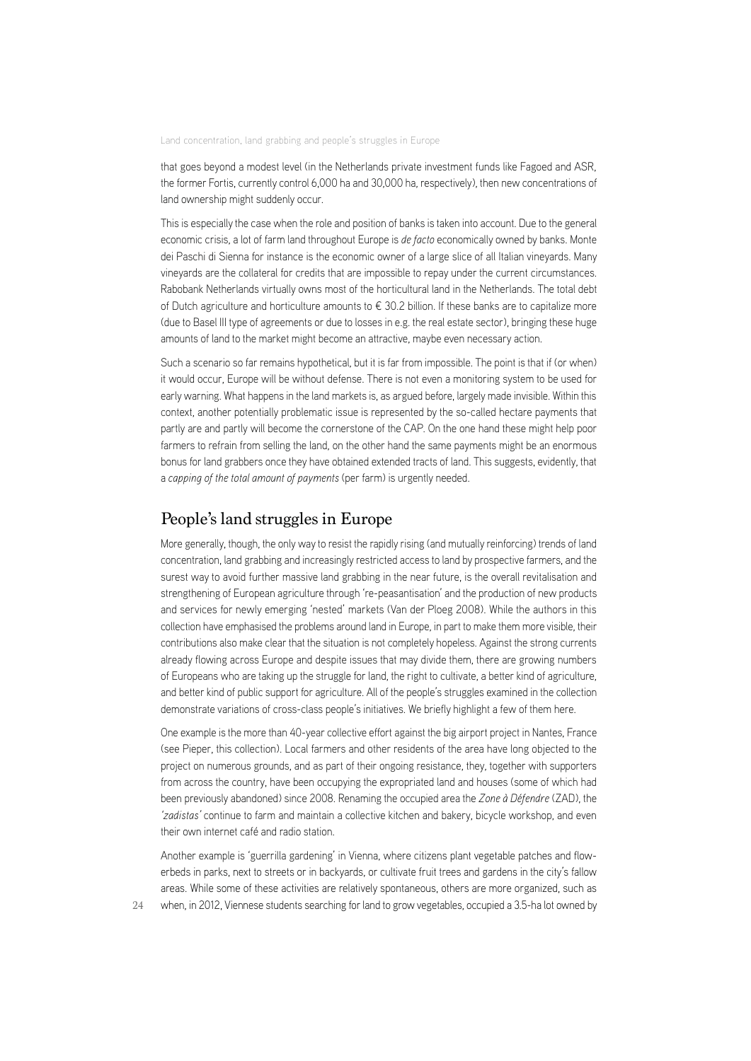that goes beyond a modest level (in the Netherlands private investment funds like Fagoed and ASR, the former Fortis, currently control 6,000 ha and 30,000 ha, respectively), then new concentrations of land ownership might suddenly occur.

This is especially the case when the role and position of banks is taken into account. Due to the general economic crisis, a lot of farm land throughout Europe is *de facto* economically owned by banks. Monte dei Paschi di Sienna for instance is the economic owner of a large slice of all Italian vineyards. Many vineyards are the collateral for credits that are impossible to repay under the current circumstances. Rabobank Netherlands virtually owns most of the horticultural land in the Netherlands. The total debt of Dutch agriculture and horticulture amounts to  $\epsilon$  30.2 billion. If these banks are to capitalize more (due to Basel III type of agreements or due to losses in e.g. the real estate sector), bringing these huge amounts of land to the market might become an attractive, maybe even necessary action.

Such a scenario so far remains hypothetical, but it is far from impossible. The point is that if (or when) it would occur, Europe will be without defense. There is not even a monitoring system to be used for early warning. What happens in the land markets is, as argued before, largely made invisible. Within this context, another potentially problematic issue is represented by the so-called hectare payments that partly are and partly will become the cornerstone of the CAP. On the one hand these might help poor farmers to refrain from selling the land, on the other hand the same payments might be an enormous bonus for land grabbers once they have obtained extended tracts of land. This suggests, evidently, that a *capping of the total amount of payments* (per farm) is urgently needed.

### People's land struggles in Europe

More generally, though, the only way to resist the rapidly rising (and mutually reinforcing) trends of land concentration, land grabbing and increasingly restricted access to land by prospective farmers, and the surest way to avoid further massive land grabbing in the near future, is the overall revitalisation and strengthening of European agriculture through 're-peasantisation' and the production of new products and services for newly emerging 'nested' markets (Van der Ploeg 2008). While the authors in this collection have emphasised the problems around land in Europe, in part to make them more visible, their contributions also make clear that the situation is not completely hopeless. Against the strong currents already flowing across Europe and despite issues that may divide them, there are growing numbers of Europeans who are taking up the struggle for land, the right to cultivate, a better kind of agriculture, and better kind of public support for agriculture. All of the people's struggles examined in the collection demonstrate variations of cross-class people's initiatives. We briefly highlight a few of them here.

One example is the more than 40-year collective effort against the big airport project in Nantes, France (see Pieper, this collection). Local farmers and other residents of the area have long objected to the project on numerous grounds, and as part of their ongoing resistance, they, together with supporters from across the country, have been occupying the expropriated land and houses (some of which had been previously abandoned) since 2008. Renaming the occupied area the *Zone à Défendre* (ZAD), the *'zadistas'* continue to farm and maintain a collective kitchen and bakery, bicycle workshop, and even their own internet café and radio station.

Another example is 'guerrilla gardening' in Vienna, where citizens plant vegetable patches and flowerbeds in parks, next to streets or in backyards, or cultivate fruit trees and gardens in the city's fallow areas. While some of these activities are relatively spontaneous, others are more organized, such as

24 when, in 2012, Viennese students searching for land to grow vegetables, occupied a 3.5-ha lot owned by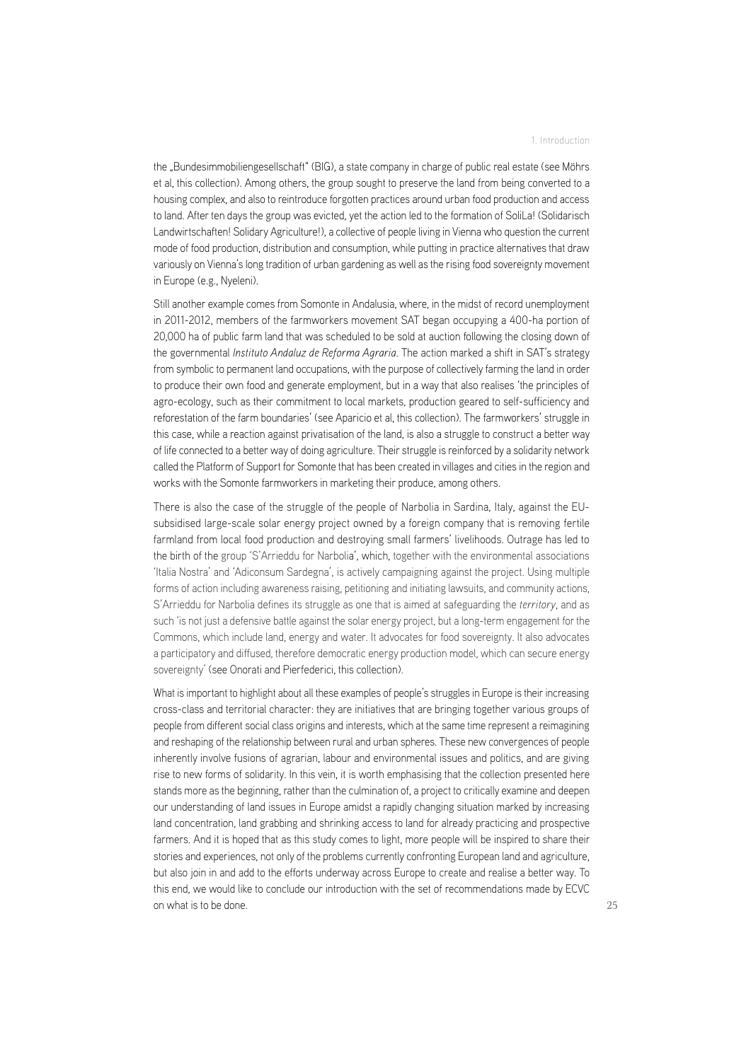the "Bundesimmobiliengesellschaft" (BIG), a state company in charge of public real estate (see Möhrs et al, this collection). Among others, the group sought to preserve the land from being converted to a housing complex, and also to reintroduce forgotten practices around urban food production and access to land. After ten days the group was evicted, yet the action led to the formation of SoliLa! (Solidarisch Landwirtschaften! Solidary Agriculture!), a collective of people living in Vienna who question the current mode of food production, distribution and consumption, while putting in practice alternatives that draw variously on Vienna's long tradition of urban gardening as well as the rising food sovereignty movement in Europe (e.g., Nyeleni).

Still another example comes from Somonte in Andalusia, where, in the midst of record unemployment in 2011-2012, members of the farmworkers movement SAT began occupying a 400-ha portion of 20,000 ha of public farm land that was scheduled to be sold at auction following the closing down of the governmental *Instituto Andaluz de Reforma Agraria*. The action marked a shift in SAT's strategy from symbolic to permanent land occupations, with the purpose of collectively farming the land in order to produce their own food and generate employment, but in a way that also realises 'the principles of agro-ecology, such as their commitment to local markets, production geared to self-sufficiency and reforestation of the farm boundaries' (see Aparicio et al, this collection). The farmworkers' struggle in this case, while a reaction against privatisation of the land, is also a struggle to construct a better way of life connected to a better way of doing agriculture. Their struggle is reinforced by a solidarity network called the Platform of Support for Somonte that has been created in villages and cities in the region and works with the Somonte farmworkers in marketing their produce, among others.

There is also the case of the struggle of the people of Narbolia in Sardina, Italy, against the EUsubsidised large-scale solar energy project owned by a foreign company that is removing fertile farmland from local food production and destroying small farmers' livelihoods. Outrage has led to the birth of the group 'S'Arrieddu for Narbolia', which, together with the environmental associations 'Italia Nostra' and 'Adiconsum Sardegna', is actively campaigning against the project. Using multiple forms of action including awareness raising, petitioning and initiating lawsuits, and community actions, S'Arrieddu for Narbolia defines its struggle as one that is aimed at safeguarding the *territory*, and as such 'is not just a defensive battle against the solar energy project, but a long-term engagement for the Commons, which include land, energy and water. It advocates for food sovereignty. It also advocates a participatory and diffused, therefore democratic energy production model, which can secure energy sovereignty' (see Onorati and Pierfederici, this collection).

What is important to highlight about all these examples of people's struggles in Europe is their increasing cross-class and territorial character: they are initiatives that are bringing together various groups of people from different social class origins and interests, which at the same time represent a reimagining and reshaping of the relationship between rural and urban spheres. These new convergences of people inherently involve fusions of agrarian, labour and environmental issues and politics, and are giving rise to new forms of solidarity. In this vein, it is worth emphasising that the collection presented here stands more as the beginning, rather than the culmination of, a project to critically examine and deepen our understanding of land issues in Europe amidst a rapidly changing situation marked by increasing land concentration, land grabbing and shrinking access to land for already practicing and prospective farmers. And it is hoped that as this study comes to light, more people will be inspired to share their stories and experiences, not only of the problems currently confronting European land and agriculture, but also join in and add to the efforts underway across Europe to create and realise a better way. To this end, we would like to conclude our introduction with the set of recommendations made by ECVC on what is to be done.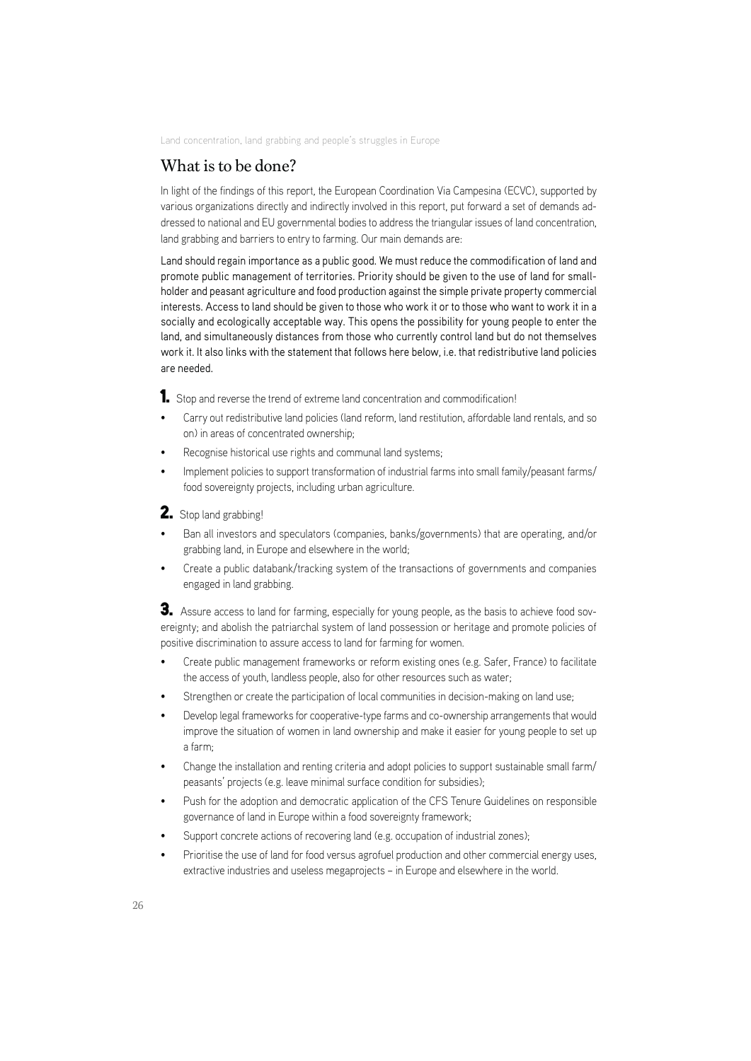### What is to be done?

In light of the findings of this report, the European Coordination Via Campesina (ECVC), supported by various organizations directly and indirectly involved in this report, put forward a set of demands addressed to national and EU governmental bodies to address the triangular issues of land concentration, land grabbing and barriers to entry to farming. Our main demands are:

Land should regain importance as a public good. We must reduce the commodification of land and promote public management of territories. Priority should be given to the use of land for smallholder and peasant agriculture and food production against the simple private property commercial interests. Access to land should be given to those who work it or to those who want to work it in a socially and ecologically acceptable way. This opens the possibility for young people to enter the land, and simultaneously distances from those who currently control land but do not themselves work it. It also links with the statement that follows here below, i.e. that redistributive land policies are needed.

1. Stop and reverse the trend of extreme land concentration and commodification!

- Carry out redistributive land policies (land reform, land restitution, affordable land rentals, and so on) in areas of concentrated ownership;
- Recognise historical use rights and communal land systems;
- Implement policies to support transformation of industrial farms into small family/peasant farms/ food sovereignty projects, including urban agriculture.
- 2. Stop land grabbing!
- Ban all investors and speculators (companies, banks/governments) that are operating, and/or grabbing land, in Europe and elsewhere in the world;
- Create a public databank/tracking system of the transactions of governments and companies engaged in land grabbing.

3. Assure access to land for farming, especially for young people, as the basis to achieve food sovereignty; and abolish the patriarchal system of land possession or heritage and promote policies of positive discrimination to assure access to land for farming for women.

- Create public management frameworks or reform existing ones (e.g. Safer, France) to facilitate the access of youth, landless people, also for other resources such as water;
- Strengthen or create the participation of local communities in decision-making on land use;
- Develop legal frameworks for cooperative-type farms and co-ownership arrangements that would improve the situation of women in land ownership and make it easier for young people to set up a farm;
- Change the installation and renting criteria and adopt policies to support sustainable small farm/ peasants' projects (e.g. leave minimal surface condition for subsidies);
- Push for the adoption and democratic application of the CFS Tenure Guidelines on responsible governance of land in Europe within a food sovereignty framework;
- Support concrete actions of recovering land (e.g. occupation of industrial zones);
- Prioritise the use of land for food versus agrofuel production and other commercial energy uses, extractive industries and useless megaprojects – in Europe and elsewhere in the world.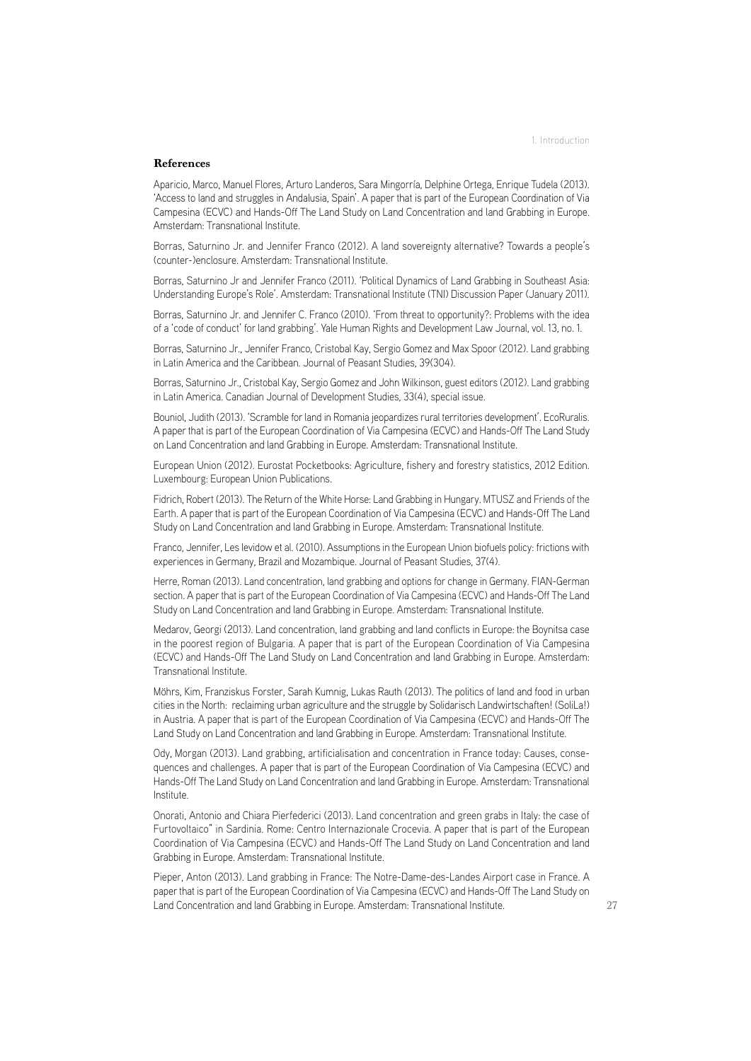### **References**

Aparicio, Marco, Manuel Flores, Arturo Landeros, Sara Mingorría, Delphine Ortega, Enrique Tudela (2013). 'Access to land and struggles in Andalusia, Spain'. A paper that is part of the European Coordination of Via Campesina (ECVC) and Hands-Off The Land Study on Land Concentration and land Grabbing in Europe. Amsterdam: Transnational Institute.

Borras, Saturnino Jr. and Jennifer Franco (2012). A land sovereignty alternative? Towards a people's (counter-)enclosure. Amsterdam: Transnational Institute.

Borras, Saturnino Jr and Jennifer Franco (2011). 'Political Dynamics of Land Grabbing in Southeast Asia: Understanding Europe's Role'. Amsterdam: Transnational Institute (TNI) Discussion Paper (January 2011).

Borras, Saturnino Jr. and Jennifer C. Franco (2010). 'From threat to opportunity?: Problems with the idea of a 'code of conduct' for land grabbing'. Yale Human Rights and Development Law Journal, vol. 13, no. 1.

Borras, Saturnino Jr., Jennifer Franco, Cristobal Kay, Sergio Gomez and Max Spoor (2012). Land grabbing in Latin America and the Caribbean. Journal of Peasant Studies, 39(304).

Borras, Saturnino Jr., Cristobal Kay, Sergio Gomez and John Wilkinson, guest editors (2012). Land grabbing in Latin America. Canadian Journal of Development Studies, 33(4), special issue.

Bouniol, Judith (2013). 'Scramble for land in Romania jeopardizes rural territories development'. EcoRuralis. A paper that is part of the European Coordination of Via Campesina (ECVC) and Hands-Off The Land Study on Land Concentration and land Grabbing in Europe. Amsterdam: Transnational Institute.

European Union (2012). Eurostat Pocketbooks: Agriculture, fishery and forestry statistics, 2012 Edition. Luxembourg: European Union Publications.

Fidrich, Robert (2013). The Return of the White Horse: Land Grabbing in Hungary. MTUSZ and Friends of the Earth. A paper that is part of the European Coordination of Via Campesina (ECVC) and Hands-Off The Land Study on Land Concentration and land Grabbing in Europe. Amsterdam: Transnational Institute.

Franco, Jennifer, Les levidow et al. (2010). Assumptions in the European Union biofuels policy: frictions with experiences in Germany, Brazil and Mozambique. Journal of Peasant Studies, 37(4).

Herre, Roman (2013). Land concentration, land grabbing and options for change in Germany. FIAN-German section. A paper that is part of the European Coordination of Via Campesina (ECVC) and Hands-Off The Land Study on Land Concentration and land Grabbing in Europe. Amsterdam: Transnational Institute.

Medarov, Georgi (2013). Land concentration, land grabbing and land conflicts in Europe: the Boynitsa case in the poorest region of Bulgaria. A paper that is part of the European Coordination of Via Campesina (ECVC) and Hands-Off The Land Study on Land Concentration and land Grabbing in Europe. Amsterdam: Transnational Institute.

Möhrs, Kim, Franziskus Forster, Sarah Kumnig, Lukas Rauth (2013). The politics of land and food in urban cities in the North: reclaiming urban agriculture and the struggle by Solidarisch Landwirtschaften! (SoliLa!) in Austria. A paper that is part of the European Coordination of Via Campesina (ECVC) and Hands-Off The Land Study on Land Concentration and land Grabbing in Europe. Amsterdam: Transnational Institute.

Ody, Morgan (2013). Land grabbing, artificialisation and concentration in France today: Causes, consequences and challenges. A paper that is part of the European Coordination of Via Campesina (ECVC) and Hands-Off The Land Study on Land Concentration and land Grabbing in Europe. Amsterdam: Transnational Institute.

Onorati, Antonio and Chiara Pierfederici (2013). Land concentration and green grabs in Italy: the case of Furtovoltaico" in Sardinia. Rome: Centro Internazionale Crocevia. A paper that is part of the European Coordination of Via Campesina (ECVC) and Hands-Off The Land Study on Land Concentration and land Grabbing in Europe. Amsterdam: Transnational Institute.

Pieper, Anton (2013). Land grabbing in France: The Notre-Dame-des-Landes Airport case in France. A paper that is part of the European Coordination of Via Campesina (ECVC) and Hands-Off The Land Study on Land Concentration and land Grabbing in Europe. Amsterdam: Transnational Institute.